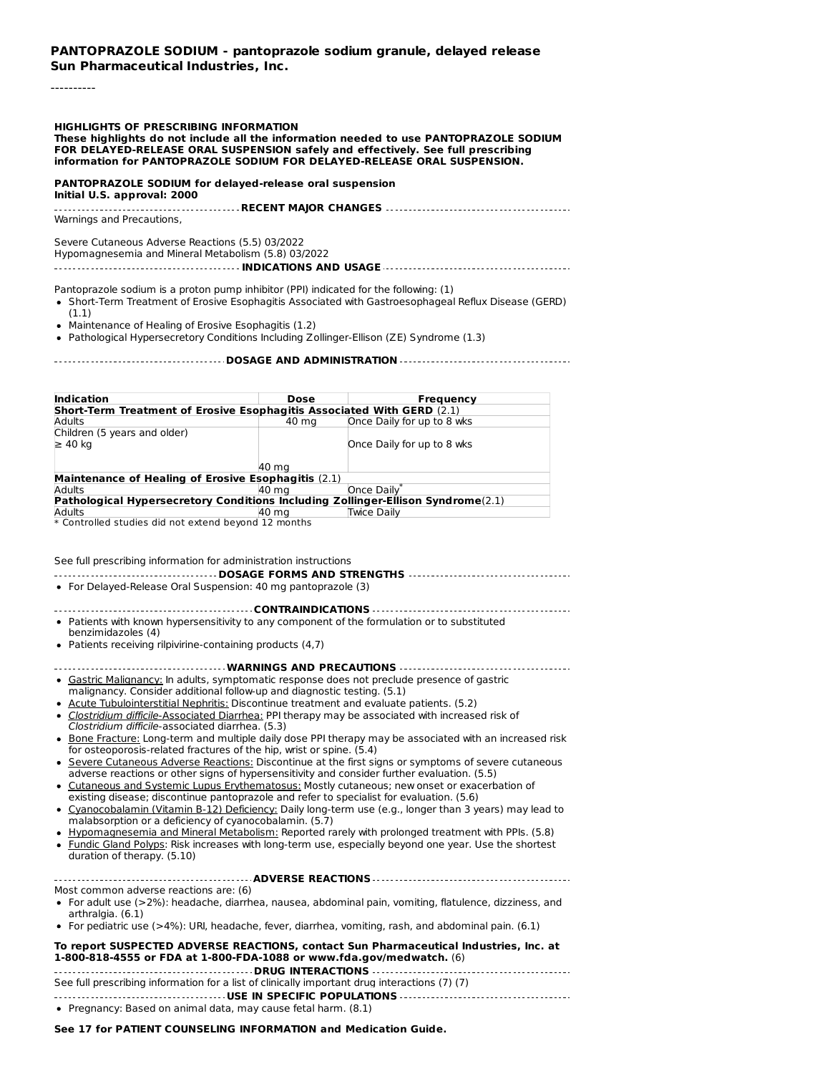#### **PANTOPRAZOLE SODIUM - pantoprazole sodium granule, delayed release Sun Pharmaceutical Industries, Inc.**

#### ----------

#### **HIGHLIGHTS OF PRESCRIBING INFORMATION**

#### **These highlights do not include all the information needed to use PANTOPRAZOLE SODIUM FOR DELAYED-RELEASE ORAL SUSPENSION safely and effectively. See full prescribing information for PANTOPRAZOLE SODIUM FOR DELAYED-RELEASE ORAL SUSPENSION.**

#### **PANTOPRAZOLE SODIUM for delayed-release oral suspension**

**Initial U.S. approval: 2000 RECENT MAJOR CHANGES** Warnings and Precautions,

Severe Cutaneous Adverse Reactions (5.5) 03/2022 Hypomagnesemia and Mineral Metabolism (5.8) 03/2022

**INDICATIONS AND USAGE**

Pantoprazole sodium is a proton pump inhibitor (PPI) indicated for the following: (1)

Short-Term Treatment of Erosive Esophagitis Associated with Gastroesophageal Reflux Disease (GERD) (1.1)

Maintenance of Healing of Erosive Esophagitis (1.2)

Pathological Hypersecretory Conditions Including Zollinger-Ellison (ZE) Syndrome (1.3)

#### **DOSAGE AND ADMINISTRATION**

| <b>Indication</b>                                                                | <b>Dose</b> | Frequency                  |  |  |  |
|----------------------------------------------------------------------------------|-------------|----------------------------|--|--|--|
| Short-Term Treatment of Erosive Esophagitis Associated With GERD (2.1)           |             |                            |  |  |  |
| Adults                                                                           | 40 ma       | Once Daily for up to 8 wks |  |  |  |
| Children (5 years and older)                                                     |             |                            |  |  |  |
| $\geq 40$ ka                                                                     |             | Once Daily for up to 8 wks |  |  |  |
|                                                                                  |             |                            |  |  |  |
|                                                                                  | 40 ma       |                            |  |  |  |
| Maintenance of Healing of Erosive Esophagitis (2.1)                              |             |                            |  |  |  |
| Adults                                                                           | 40 ma       | Once Daily*                |  |  |  |
| Pathological Hypersecretory Conditions Including Zollinger-Ellison Syndrome(2.1) |             |                            |  |  |  |
| Adults                                                                           | 40 ma       | Twice Daily                |  |  |  |
| * Controlled studies did not extend beyond 12 months                             |             |                            |  |  |  |

| See full prescribing information for administration instructions                                                                                                                |
|---------------------------------------------------------------------------------------------------------------------------------------------------------------------------------|
|                                                                                                                                                                                 |
| • For Delayed-Release Oral Suspension: 40 mg pantoprazole (3)                                                                                                                   |
|                                                                                                                                                                                 |
| • Patients with known hypersensitivity to any component of the formulation or to substituted<br>benzimidazoles (4)                                                              |
| • Patients receiving rilpivirine-containing products $(4,7)$                                                                                                                    |
|                                                                                                                                                                                 |
| • Gastric Malignancy: In adults, symptomatic response does not preclude presence of gastric<br>malignancy. Consider additional follow-up and diagnostic testing. (5.1)          |
| • Acute Tubulointerstitial Nephritis: Discontinue treatment and evaluate patients. (5.2)                                                                                        |
| • Clostridium difficile-Associated Diarrhea: PPI therapy may be associated with increased risk of<br>Clostridium difficile-associated diarrhea. (5.3)                           |
| • Bone Fracture: Long-term and multiple daily dose PPI therapy may be associated with an increased risk<br>for osteoporosis-related fractures of the hip, wrist or spine. (5.4) |
| . Couse Cubenario Advance Depations: Dispositions of the first class as symptoms of couse subspaces                                                                             |

- $\bullet$  Severe Cutaneous Adverse Reactions: Discontinue at the first signs or symptoms of severe cutaneous adverse reactions or other signs of hypersensitivity and consider further evaluation. (5.5)
- Cutaneous and Systemic Lupus Erythematosus: Mostly cutaneous; new onset or exacerbation of existing disease; discontinue pantoprazole and refer to specialist for evaluation. (5.6)
- Cyanocobalamin (Vitamin B-12) Deficiency: Daily long-term use (e.g., longer than 3 years) may lead to malabsorption or a deficiency of cyanocobalamin. (5.7)
- Hypomagnesemia and Mineral Metabolism: Reported rarely with prolonged treatment with PPIs. (5.8)
- Fundic Gland Polyps: Risk increases with long-term use, especially beyond one year. Use the shortest duration of therapy. (5.10)

 $\overline{a}$ 

| Most common adverse reactions are: (6)                                                                     |  |  |  |  |
|------------------------------------------------------------------------------------------------------------|--|--|--|--|
| • For adult use $(>2%)$ : headache, diarrhea, nausea, abdominal pain, vomiting, flatulence, dizziness, and |  |  |  |  |
| arthralgia. (6.1)                                                                                          |  |  |  |  |

For pediatric use (>4%): URI, headache, fever, diarrhea, vomiting, rash, and abdominal pain. (6.1)

| To report SUSPECTED ADVERSE REACTIONS, contact Sun Pharmaceutical Industries, Inc. at |
|---------------------------------------------------------------------------------------|
| 1-800-818-4555 or FDA at 1-800-FDA-1088 or www.fda.gov/medwatch. (6)                  |
|                                                                                       |

See full prescribing information for a list of clinically important drug interactions (7) (7) **USE IN SPECIFIC POPULATIONS**

Pregnancy: Based on animal data, may cause fetal harm. (8.1)

**See 17 for PATIENT COUNSELING INFORMATION and Medication Guide.**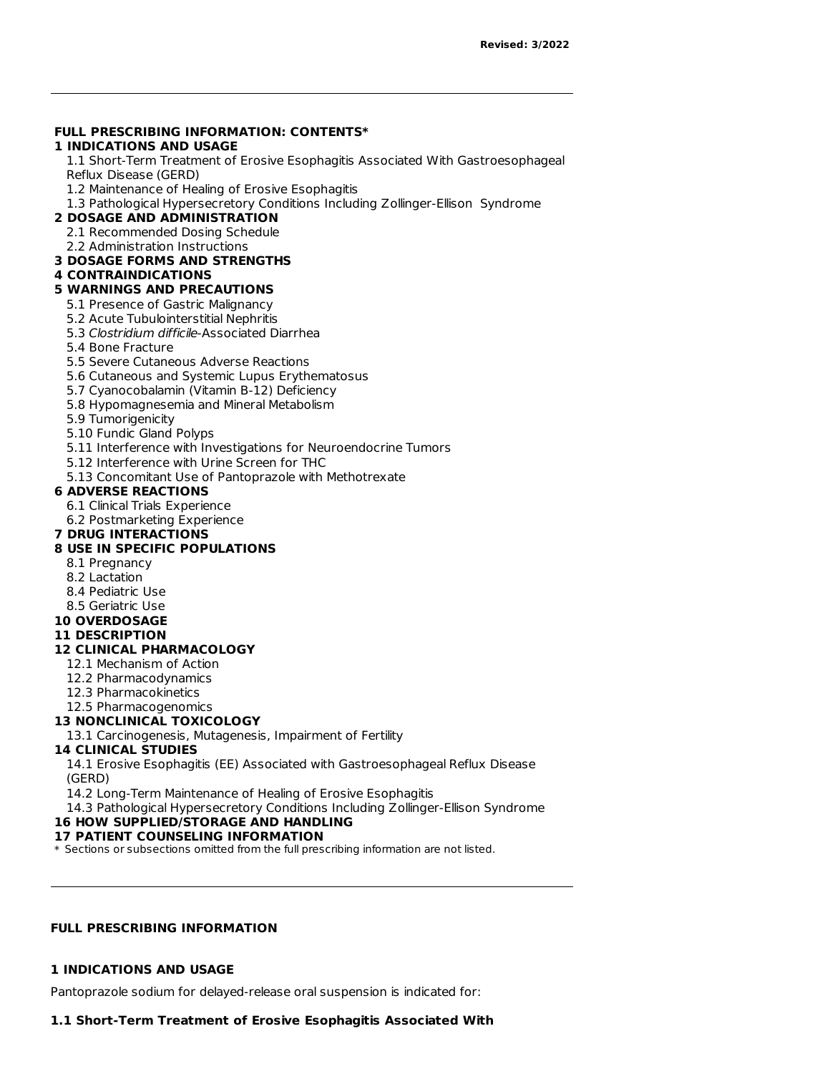### **FULL PRESCRIBING INFORMATION: CONTENTS\***

### **1 INDICATIONS AND USAGE**

1.1 Short-Term Treatment of Erosive Esophagitis Associated With Gastroesophageal Reflux Disease (GERD)

1.2 Maintenance of Healing of Erosive Esophagitis

1.3 Pathological Hypersecretory Conditions Including Zollinger-Ellison Syndrome

### **2 DOSAGE AND ADMINISTRATION**

2.1 Recommended Dosing Schedule

2.2 Administration Instructions

**3 DOSAGE FORMS AND STRENGTHS**

## **4 CONTRAINDICATIONS**

## **5 WARNINGS AND PRECAUTIONS**

- 5.1 Presence of Gastric Malignancy
- 5.2 Acute Tubulointerstitial Nephritis
- 5.3 Clostridium difficile-Associated Diarrhea
- 5.4 Bone Fracture
- 5.5 Severe Cutaneous Adverse Reactions
- 5.6 Cutaneous and Systemic Lupus Erythematosus
- 5.7 Cyanocobalamin (Vitamin B-12) Deficiency
- 5.8 Hypomagnesemia and Mineral Metabolism
- 5.9 Tumorigenicity
- 5.10 Fundic Gland Polyps
- 5.11 Interference with Investigations for Neuroendocrine Tumors
- 5.12 Interference with Urine Screen for THC
- 5.13 Concomitant Use of Pantoprazole with Methotrexate

### **6 ADVERSE REACTIONS**

- 6.1 Clinical Trials Experience
- 6.2 Postmarketing Experience

### **7 DRUG INTERACTIONS**

### **8 USE IN SPECIFIC POPULATIONS**

- 8.1 Pregnancy
- 8.2 Lactation
- 8.4 Pediatric Use
- 8.5 Geriatric Use
- **10 OVERDOSAGE**

## **11 DESCRIPTION**

## **12 CLINICAL PHARMACOLOGY**

- 12.1 Mechanism of Action
- 12.2 Pharmacodynamics
- 12.3 Pharmacokinetics
- 12.5 Pharmacogenomics

### **13 NONCLINICAL TOXICOLOGY**

### 13.1 Carcinogenesis, Mutagenesis, Impairment of Fertility

#### **14 CLINICAL STUDIES**

14.1 Erosive Esophagitis (EE) Associated with Gastroesophageal Reflux Disease (GERD)

14.2 Long-Term Maintenance of Healing of Erosive Esophagitis

14.3 Pathological Hypersecretory Conditions Including Zollinger-Ellison Syndrome

## **16 HOW SUPPLIED/STORAGE AND HANDLING**

### **17 PATIENT COUNSELING INFORMATION**

\* Sections or subsections omitted from the full prescribing information are not listed.

### **FULL PRESCRIBING INFORMATION**

### **1 INDICATIONS AND USAGE**

Pantoprazole sodium for delayed-release oral suspension is indicated for:

### **1.1 Short-Term Treatment of Erosive Esophagitis Associated With**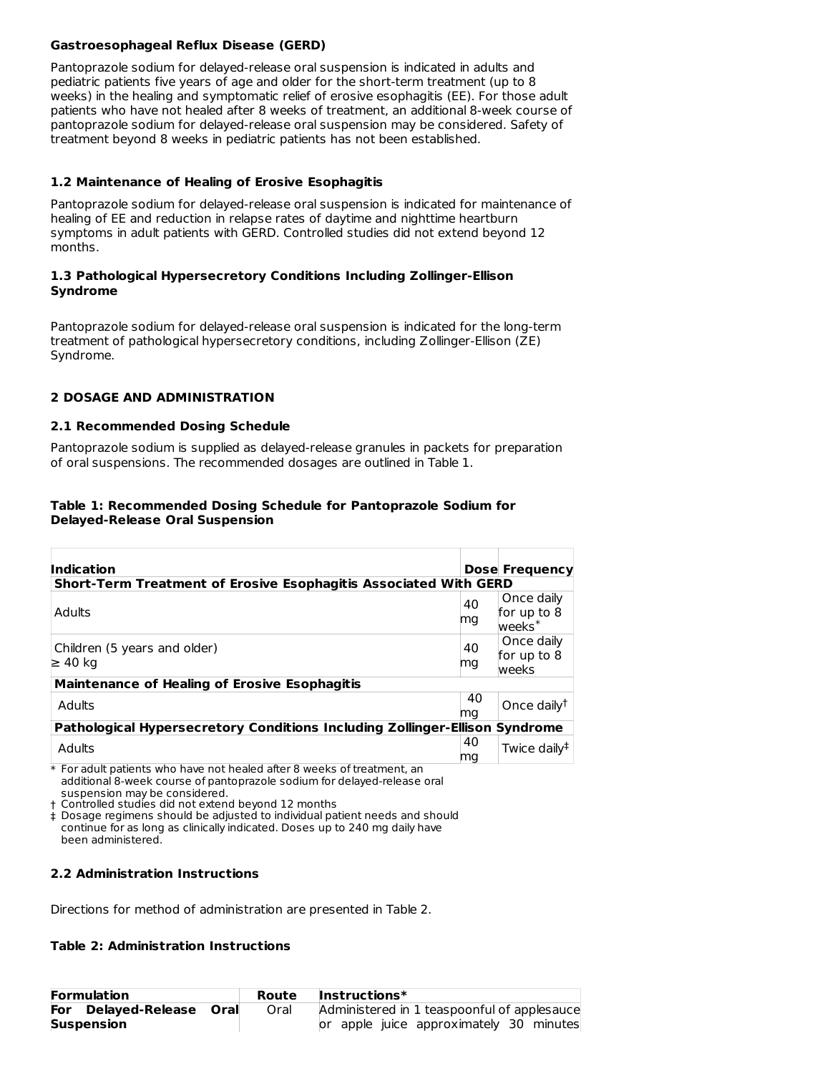### **Gastroesophageal Reflux Disease (GERD)**

Pantoprazole sodium for delayed-release oral suspension is indicated in adults and pediatric patients five years of age and older for the short-term treatment (up to 8 weeks) in the healing and symptomatic relief of erosive esophagitis (EE). For those adult patients who have not healed after 8 weeks of treatment, an additional 8-week course of pantoprazole sodium for delayed-release oral suspension may be considered. Safety of treatment beyond 8 weeks in pediatric patients has not been established.

### **1.2 Maintenance of Healing of Erosive Esophagitis**

Pantoprazole sodium for delayed-release oral suspension is indicated for maintenance of healing of EE and reduction in relapse rates of daytime and nighttime heartburn symptoms in adult patients with GERD. Controlled studies did not extend beyond 12 months.

### **1.3 Pathological Hypersecretory Conditions Including Zollinger-Ellison Syndrome**

Pantoprazole sodium for delayed-release oral suspension is indicated for the long-term treatment of pathological hypersecretory conditions, including Zollinger-Ellison (ZE) Syndrome.

## **2 DOSAGE AND ADMINISTRATION**

### **2.1 Recommended Dosing Schedule**

Pantoprazole sodium is supplied as delayed-release granules in packets for preparation of oral suspensions. The recommended dosages are outlined in Table 1.

### **Table 1: Recommended Dosing Schedule for Pantoprazole Sodium for Delayed-Release Oral Suspension**

| Indication                                                                  |          | <b>Dose Frequency</b>                       |  |
|-----------------------------------------------------------------------------|----------|---------------------------------------------|--|
| Short-Term Treatment of Erosive Esophagitis Associated With GERD            |          |                                             |  |
| Adults                                                                      | 40<br>ma | Once daily<br>for up to 8<br>$wee$ ks $*$   |  |
| Children (5 years and older)<br>$\geq 40$ kg                                | 40<br>mg | Once daily<br>for up to 8<br>weeks          |  |
| <b>Maintenance of Healing of Erosive Esophagitis</b>                        |          |                                             |  |
| Adults                                                                      | 40<br>mg | Once daily <sup><math>\uparrow</math></sup> |  |
| Pathological Hypersecretory Conditions Including Zollinger-Ellison Syndrome |          |                                             |  |
| Adults                                                                      | 40<br>ma | Twice daily <sup>‡</sup>                    |  |

 $\ast$  For adult patients who have not healed after 8 weeks of treatment, an additional 8-week course of pantoprazole sodium for delayed-release oral suspension may be considered.

† Controlled studies did not extend beyond 12 months

‡ Dosage regimens should be adjusted to individual patient needs and should continue for as long as clinically indicated. Doses up to 240 mg daily have been administered.

### **2.2 Administration Instructions**

Directions for method of administration are presented in Table 2.

### **Table 2: Administration Instructions**

| <b>Formulation</b>                 | Route | $Instructions*$                             |
|------------------------------------|-------|---------------------------------------------|
| <b>For Delayed-Release</b><br>Oral | Oral  | Administered in 1 teaspoonful of applesauce |
| <b>Suspension</b>                  |       | or apple juice approximately 30 minutes     |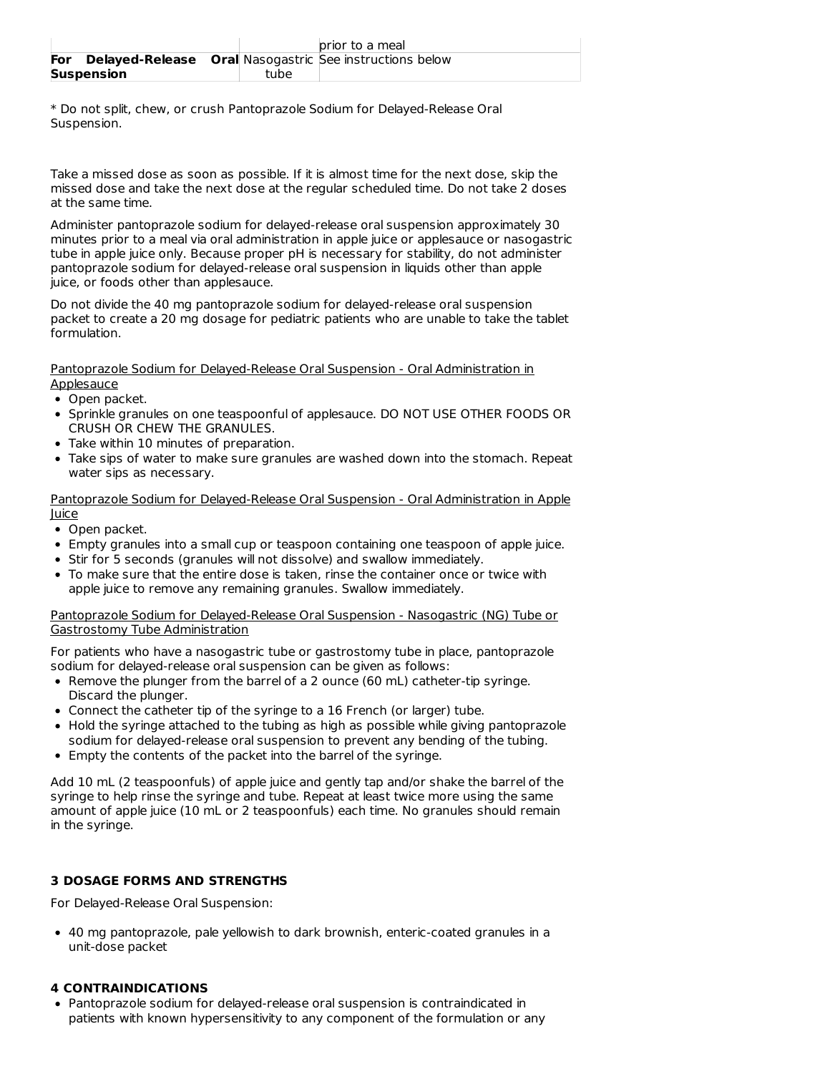|     |                   |      | prior to a meal                                                |
|-----|-------------------|------|----------------------------------------------------------------|
| For |                   |      | <b>Delayed-Release</b> Oral Nasogastric See instructions below |
|     | <b>Suspension</b> | tube |                                                                |

\* Do not split, chew, or crush Pantoprazole Sodium for Delayed-Release Oral Suspension.

Take a missed dose as soon as possible. If it is almost time for the next dose, skip the missed dose and take the next dose at the regular scheduled time. Do not take 2 doses at the same time.

Administer pantoprazole sodium for delayed-release oral suspension approximately 30 minutes prior to a meal via oral administration in apple juice or applesauce or nasogastric tube in apple juice only. Because proper pH is necessary for stability, do not administer pantoprazole sodium for delayed-release oral suspension in liquids other than apple juice, or foods other than applesauce.

Do not divide the 40 mg pantoprazole sodium for delayed-release oral suspension packet to create a 20 mg dosage for pediatric patients who are unable to take the tablet formulation.

Pantoprazole Sodium for Delayed-Release Oral Suspension - Oral Administration in **Applesauce** 

- Open packet.
- Sprinkle granules on one teaspoonful of applesauce. DO NOT USE OTHER FOODS OR CRUSH OR CHEW THE GRANULES.
- Take within 10 minutes of preparation.
- Take sips of water to make sure granules are washed down into the stomach. Repeat water sips as necessary.

### Pantoprazole Sodium for Delayed-Release Oral Suspension - Oral Administration in Apple Juice

- Open packet.
- Empty granules into a small cup or teaspoon containing one teaspoon of apple juice.
- Stir for 5 seconds (granules will not dissolve) and swallow immediately.
- To make sure that the entire dose is taken, rinse the container once or twice with apple juice to remove any remaining granules. Swallow immediately.

### Pantoprazole Sodium for Delayed-Release Oral Suspension - Nasogastric (NG) Tube or Gastrostomy Tube Administration

For patients who have a nasogastric tube or gastrostomy tube in place, pantoprazole sodium for delayed-release oral suspension can be given as follows:

- Remove the plunger from the barrel of a 2 ounce (60 mL) catheter-tip syringe. Discard the plunger.
- Connect the catheter tip of the syringe to a 16 French (or larger) tube.
- Hold the syringe attached to the tubing as high as possible while giving pantoprazole sodium for delayed-release oral suspension to prevent any bending of the tubing.
- Empty the contents of the packet into the barrel of the syringe.

Add 10 mL (2 teaspoonfuls) of apple juice and gently tap and/or shake the barrel of the syringe to help rinse the syringe and tube. Repeat at least twice more using the same amount of apple juice (10 mL or 2 teaspoonfuls) each time. No granules should remain in the syringe.

## **3 DOSAGE FORMS AND STRENGTHS**

For Delayed-Release Oral Suspension:

40 mg pantoprazole, pale yellowish to dark brownish, enteric-coated granules in a unit-dose packet

### **4 CONTRAINDICATIONS**

Pantoprazole sodium for delayed-release oral suspension is contraindicated in patients with known hypersensitivity to any component of the formulation or any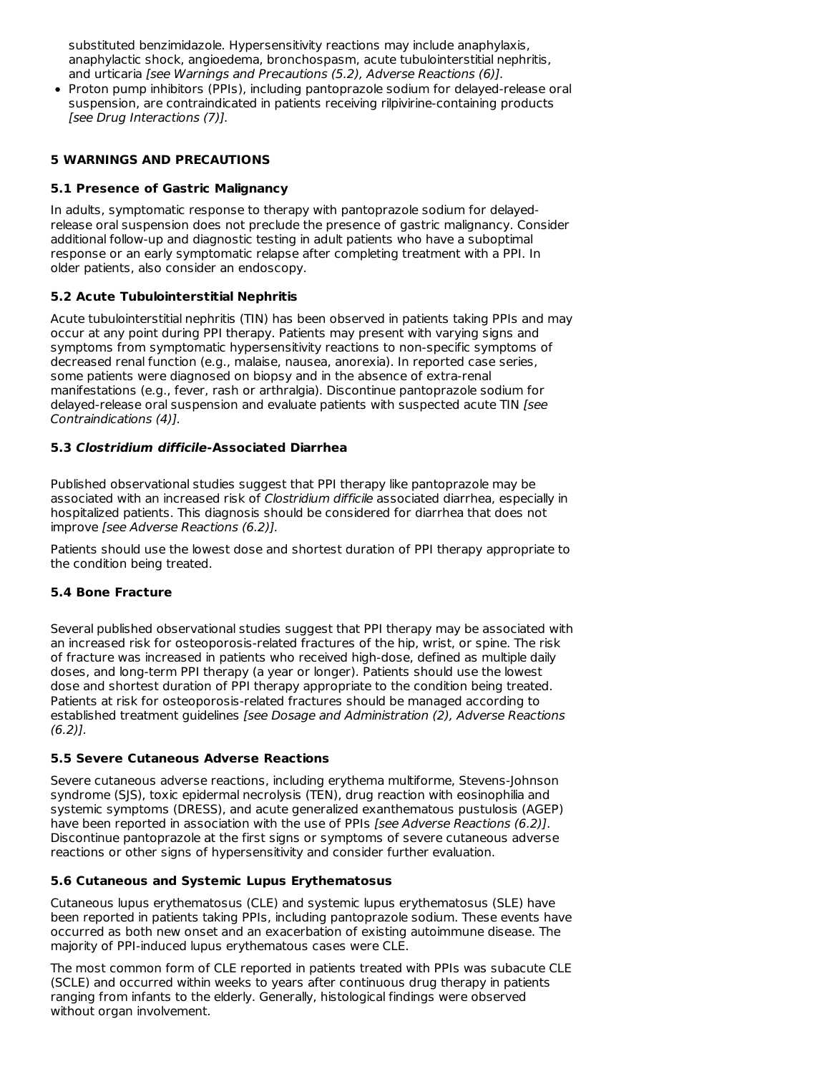substituted benzimidazole. Hypersensitivity reactions may include anaphylaxis, anaphylactic shock, angioedema, bronchospasm, acute tubulointerstitial nephritis, and urticaria [see Warnings and Precautions (5.2), Adverse Reactions (6)].

• Proton pump inhibitors (PPIs), including pantoprazole sodium for delayed-release oral suspension, are contraindicated in patients receiving rilpivirine-containing products [see Drug Interactions (7)].

### **5 WARNINGS AND PRECAUTIONS**

### **5.1 Presence of Gastric Malignancy**

In adults, symptomatic response to therapy with pantoprazole sodium for delayedrelease oral suspension does not preclude the presence of gastric malignancy. Consider additional follow-up and diagnostic testing in adult patients who have a suboptimal response or an early symptomatic relapse after completing treatment with a PPI. In older patients, also consider an endoscopy.

### **5.2 Acute Tubulointerstitial Nephritis**

Acute tubulointerstitial nephritis (TIN) has been observed in patients taking PPIs and may occur at any point during PPI therapy. Patients may present with varying signs and symptoms from symptomatic hypersensitivity reactions to non-specific symptoms of decreased renal function (e.g., malaise, nausea, anorexia). In reported case series, some patients were diagnosed on biopsy and in the absence of extra-renal manifestations (e.g., fever, rash or arthralgia). Discontinue pantoprazole sodium for delayed-release oral suspension and evaluate patients with suspected acute TIN [see Contraindications (4)].

### **5.3 Clostridium difficile-Associated Diarrhea**

Published observational studies suggest that PPI therapy like pantoprazole may be associated with an increased risk of Clostridium difficile associated diarrhea, especially in hospitalized patients. This diagnosis should be considered for diarrhea that does not improve [see Adverse Reactions (6.2)].

Patients should use the lowest dose and shortest duration of PPI therapy appropriate to the condition being treated.

### **5.4 Bone Fracture**

Several published observational studies suggest that PPI therapy may be associated with an increased risk for osteoporosis-related fractures of the hip, wrist, or spine. The risk of fracture was increased in patients who received high-dose, defined as multiple daily doses, and long-term PPI therapy (a year or longer). Patients should use the lowest dose and shortest duration of PPI therapy appropriate to the condition being treated. Patients at risk for osteoporosis-related fractures should be managed according to established treatment guidelines [see Dosage and Administration (2), Adverse Reactions  $(6.2)$ ].

#### **5.5 Severe Cutaneous Adverse Reactions**

Severe cutaneous adverse reactions, including erythema multiforme, Stevens-Johnson syndrome (SJS), toxic epidermal necrolysis (TEN), drug reaction with eosinophilia and systemic symptoms (DRESS), and acute generalized exanthematous pustulosis (AGEP) have been reported in association with the use of PPIs [see Adverse Reactions (6.2)]. Discontinue pantoprazole at the first signs or symptoms of severe cutaneous adverse reactions or other signs of hypersensitivity and consider further evaluation.

#### **5.6 Cutaneous and Systemic Lupus Erythematosus**

Cutaneous lupus erythematosus (CLE) and systemic lupus erythematosus (SLE) have been reported in patients taking PPIs, including pantoprazole sodium. These events have occurred as both new onset and an exacerbation of existing autoimmune disease. The majority of PPI-induced lupus erythematous cases were CLE.

The most common form of CLE reported in patients treated with PPIs was subacute CLE (SCLE) and occurred within weeks to years after continuous drug therapy in patients ranging from infants to the elderly. Generally, histological findings were observed without organ involvement.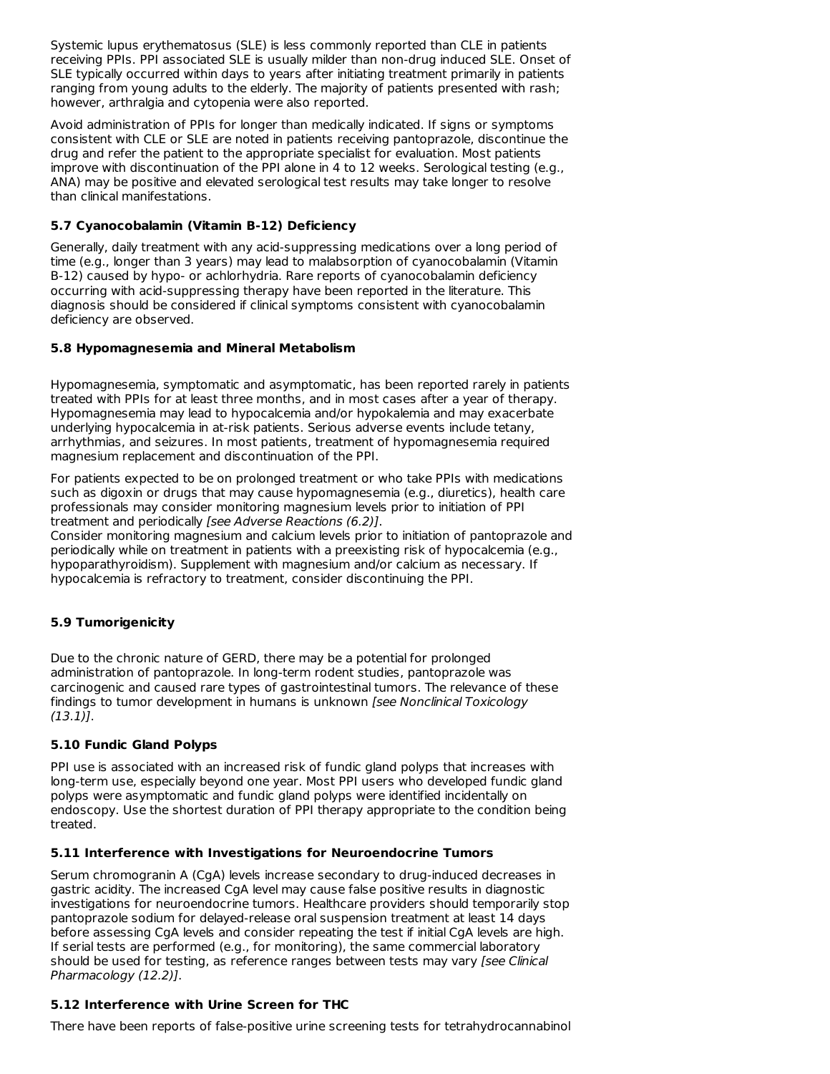Systemic lupus erythematosus (SLE) is less commonly reported than CLE in patients receiving PPIs. PPI associated SLE is usually milder than non-drug induced SLE. Onset of SLE typically occurred within days to years after initiating treatment primarily in patients ranging from young adults to the elderly. The majority of patients presented with rash; however, arthralgia and cytopenia were also reported.

Avoid administration of PPIs for longer than medically indicated. If signs or symptoms consistent with CLE or SLE are noted in patients receiving pantoprazole, discontinue the drug and refer the patient to the appropriate specialist for evaluation. Most patients improve with discontinuation of the PPI alone in 4 to 12 weeks. Serological testing (e.g., ANA) may be positive and elevated serological test results may take longer to resolve than clinical manifestations.

### **5.7 Cyanocobalamin (Vitamin B-12) Deficiency**

Generally, daily treatment with any acid-suppressing medications over a long period of time (e.g., longer than 3 years) may lead to malabsorption of cyanocobalamin (Vitamin B-12) caused by hypo- or achlorhydria. Rare reports of cyanocobalamin deficiency occurring with acid-suppressing therapy have been reported in the literature. This diagnosis should be considered if clinical symptoms consistent with cyanocobalamin deficiency are observed.

### **5.8 Hypomagnesemia and Mineral Metabolism**

Hypomagnesemia, symptomatic and asymptomatic, has been reported rarely in patients treated with PPIs for at least three months, and in most cases after a year of therapy. Hypomagnesemia may lead to hypocalcemia and/or hypokalemia and may exacerbate underlying hypocalcemia in at-risk patients. Serious adverse events include tetany, arrhythmias, and seizures. In most patients, treatment of hypomagnesemia required magnesium replacement and discontinuation of the PPI.

For patients expected to be on prolonged treatment or who take PPIs with medications such as digoxin or drugs that may cause hypomagnesemia (e.g., diuretics), health care professionals may consider monitoring magnesium levels prior to initiation of PPI treatment and periodically [see Adverse Reactions (6.2)].

Consider monitoring magnesium and calcium levels prior to initiation of pantoprazole and periodically while on treatment in patients with a preexisting risk of hypocalcemia (e.g., hypoparathyroidism). Supplement with magnesium and/or calcium as necessary. If hypocalcemia is refractory to treatment, consider discontinuing the PPI.

## **5.9 Tumorigenicity**

Due to the chronic nature of GERD, there may be a potential for prolonged administration of pantoprazole. In long-term rodent studies, pantoprazole was carcinogenic and caused rare types of gastrointestinal tumors. The relevance of these findings to tumor development in humans is unknown [see Nonclinical Toxicology  $(13.1)$ .

### **5.10 Fundic Gland Polyps**

PPI use is associated with an increased risk of fundic gland polyps that increases with long-term use, especially beyond one year. Most PPI users who developed fundic gland polyps were asymptomatic and fundic gland polyps were identified incidentally on endoscopy. Use the shortest duration of PPI therapy appropriate to the condition being treated.

### **5.11 Interference with Investigations for Neuroendocrine Tumors**

Serum chromogranin A (CgA) levels increase secondary to drug-induced decreases in gastric acidity. The increased CgA level may cause false positive results in diagnostic investigations for neuroendocrine tumors. Healthcare providers should temporarily stop pantoprazole sodium for delayed-release oral suspension treatment at least 14 days before assessing CgA levels and consider repeating the test if initial CgA levels are high. If serial tests are performed (e.g., for monitoring), the same commercial laboratory should be used for testing, as reference ranges between tests may vary [see Clinical Pharmacology (12.2)].

### **5.12 Interference with Urine Screen for THC**

There have been reports of false-positive urine screening tests for tetrahydrocannabinol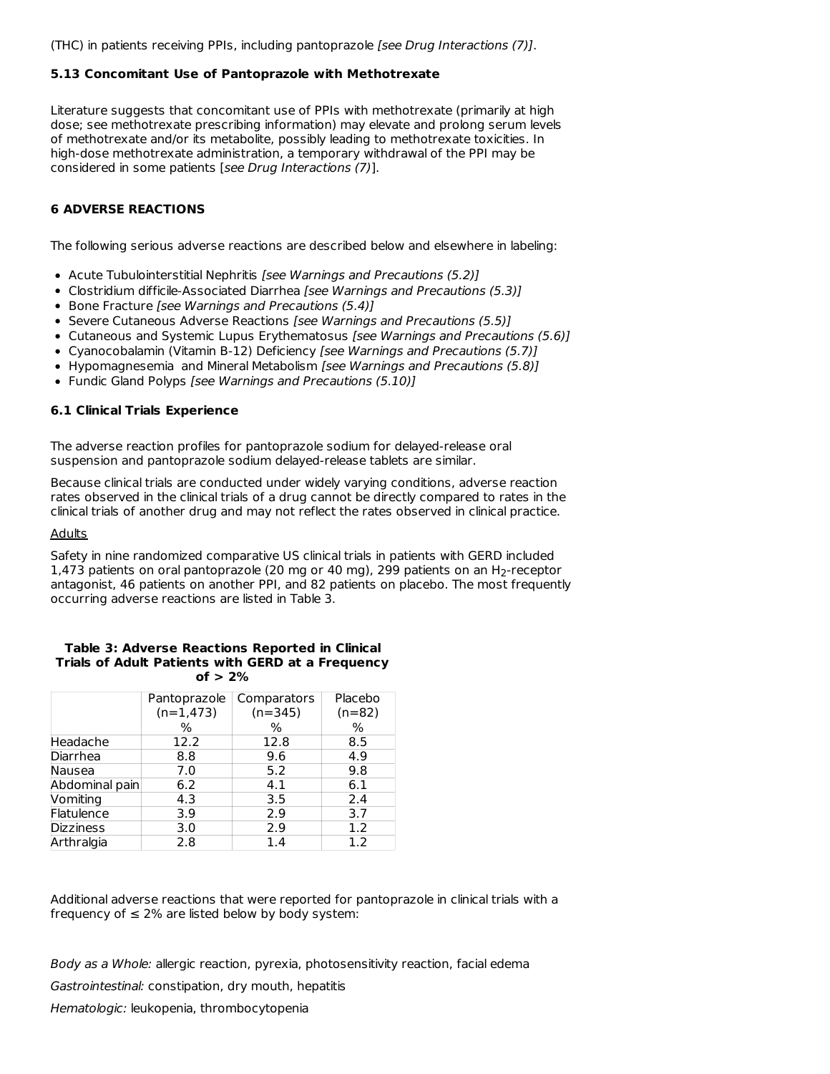## **5.13 Concomitant Use of Pantoprazole with Methotrexate**

Literature suggests that concomitant use of PPIs with methotrexate (primarily at high dose; see methotrexate prescribing information) may elevate and prolong serum levels of methotrexate and/or its metabolite, possibly leading to methotrexate toxicities. In high-dose methotrexate administration, a temporary withdrawal of the PPI may be considered in some patients [see Drug Interactions (7)].

## **6 ADVERSE REACTIONS**

The following serious adverse reactions are described below and elsewhere in labeling:

- Acute Tubulointerstitial Nephritis [see Warnings and Precautions (5.2)]
- Clostridium difficile-Associated Diarrhea [see Warnings and Precautions (5.3)]
- Bone Fracture [see Warnings and Precautions (5.4)]
- Severe Cutaneous Adverse Reactions [see Warnings and Precautions (5.5)]
- Cutaneous and Systemic Lupus Erythematosus [see Warnings and Precautions (5.6)]
- Cyanocobalamin (Vitamin B-12) Deficiency [see Warnings and Precautions (5.7)]
- Hypomagnesemia and Mineral Metabolism [see Warnings and Precautions (5.8)]
- Fundic Gland Polyps [see Warnings and Precautions (5.10)]

## **6.1 Clinical Trials Experience**

The adverse reaction profiles for pantoprazole sodium for delayed-release oral suspension and pantoprazole sodium delayed-release tablets are similar.

Because clinical trials are conducted under widely varying conditions, adverse reaction rates observed in the clinical trials of a drug cannot be directly compared to rates in the clinical trials of another drug and may not reflect the rates observed in clinical practice.

#### **Adults**

Safety in nine randomized comparative US clinical trials in patients with GERD included 1,473 patients on oral pantoprazole (20 mg or 40 mg), 299 patients on an  $H_2$ -receptor antagonist, 46 patients on another PPI, and 82 patients on placebo. The most frequently occurring adverse reactions are listed in Table 3.

#### **Table 3: Adverse Reactions Reported in Clinical Trials of Adult Patients with GERD at a Frequency of > 2%**

|                  | Pantoprazole | Comparators | Placebo  |
|------------------|--------------|-------------|----------|
|                  | $(n=1,473)$  | $(n=345)$   | $(n=82)$ |
|                  | $\%$         | ℅           | %        |
| Headache         | 12.2         | 12.8        | 8.5      |
| Diarrhea         | 8.8          | 9.6         | 4.9      |
| Nausea           | 7.0          | 5.2         | 9.8      |
| Abdominal pain   | 6.2          | 4.1         | 6.1      |
| Vomiting         | 4.3          | 3.5         | 2.4      |
| Flatulence       | 3.9          | 2.9         | 3.7      |
| <b>Dizziness</b> | 3.0          | 2.9         | 1.2      |
| Arthralgia       | 2.8          | 1.4         | 1.2      |

Additional adverse reactions that were reported for pantoprazole in clinical trials with a frequency of  $\leq 2\%$  are listed below by body system:

Body as a Whole: allergic reaction, pyrexia, photosensitivity reaction, facial edema

Gastrointestinal: constipation, dry mouth, hepatitis

Hematologic: leukopenia, thrombocytopenia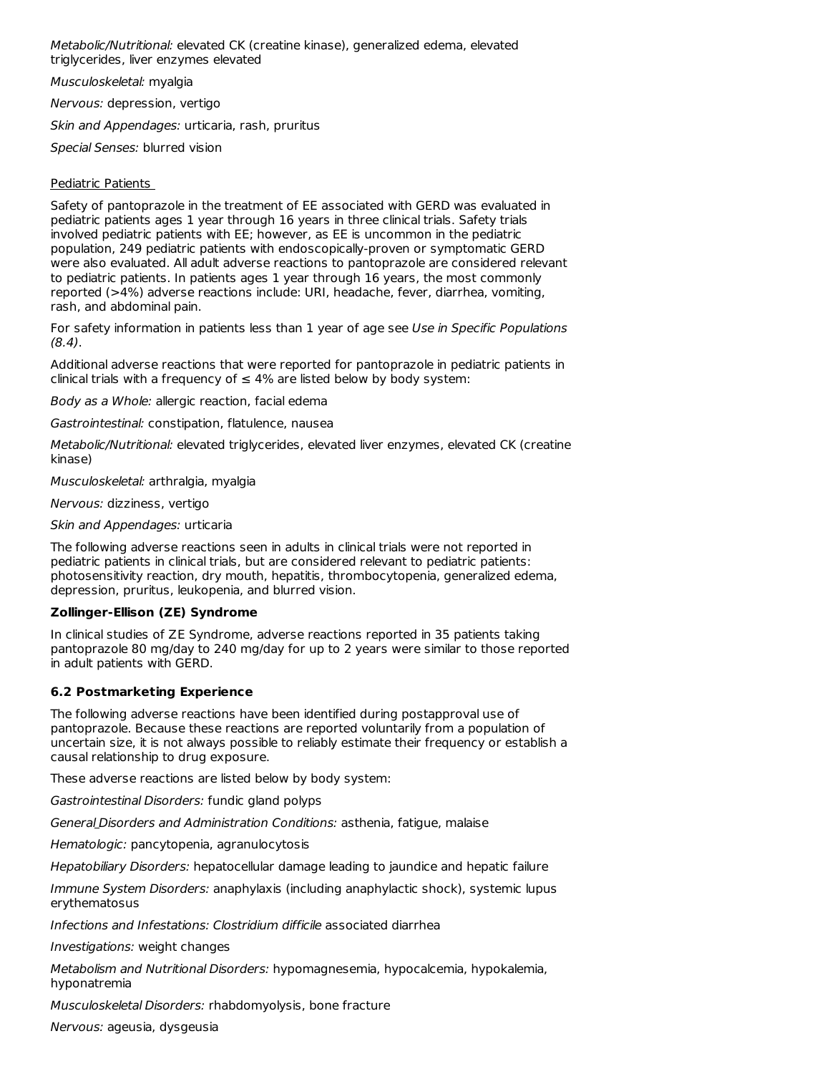Metabolic/Nutritional: elevated CK (creatine kinase), generalized edema, elevated triglycerides, liver enzymes elevated

Musculoskeletal: myalgia

Nervous: depression, vertigo

Skin and Appendages: urticaria, rash, pruritus

Special Senses: blurred vision

### Pediatric Patients

Safety of pantoprazole in the treatment of EE associated with GERD was evaluated in pediatric patients ages 1 year through 16 years in three clinical trials. Safety trials involved pediatric patients with EE; however, as EE is uncommon in the pediatric population, 249 pediatric patients with endoscopically-proven or symptomatic GERD were also evaluated. All adult adverse reactions to pantoprazole are considered relevant to pediatric patients. In patients ages 1 year through 16 years, the most commonly reported (>4%) adverse reactions include: URI, headache, fever, diarrhea, vomiting, rash, and abdominal pain.

For safety information in patients less than 1 year of age see Use in Specific Populations (8.4).

Additional adverse reactions that were reported for pantoprazole in pediatric patients in clinical trials with a frequency of  $\leq 4\%$  are listed below by body system:

Body as a Whole: allergic reaction, facial edema

Gastrointestinal: constipation, flatulence, nausea

Metabolic/Nutritional: elevated triglycerides, elevated liver enzymes, elevated CK (creatine kinase)

Musculoskeletal: arthralgia, myalgia

Nervous: dizziness, vertigo

Skin and Appendages: urticaria

The following adverse reactions seen in adults in clinical trials were not reported in pediatric patients in clinical trials, but are considered relevant to pediatric patients: photosensitivity reaction, dry mouth, hepatitis, thrombocytopenia, generalized edema, depression, pruritus, leukopenia, and blurred vision.

### **Zollinger-Ellison (ZE) Syndrome**

In clinical studies of ZE Syndrome, adverse reactions reported in 35 patients taking pantoprazole 80 mg/day to 240 mg/day for up to 2 years were similar to those reported in adult patients with GERD.

### **6.2 Postmarketing Experience**

The following adverse reactions have been identified during postapproval use of pantoprazole. Because these reactions are reported voluntarily from a population of uncertain size, it is not always possible to reliably estimate their frequency or establish a causal relationship to drug exposure.

These adverse reactions are listed below by body system:

Gastrointestinal Disorders: fundic gland polyps

General Disorders and Administration Conditions: asthenia, fatigue, malaise

Hematologic: pancytopenia, agranulocytosis

Hepatobiliary Disorders: hepatocellular damage leading to jaundice and hepatic failure

Immune System Disorders: anaphylaxis (including anaphylactic shock), systemic lupus erythematosus

Infections and Infestations: Clostridium difficile associated diarrhea

Investigations: weight changes

Metabolism and Nutritional Disorders: hypomagnesemia, hypocalcemia, hypokalemia, hyponatremia

Musculoskeletal Disorders: rhabdomyolysis, bone fracture

Nervous: ageusia, dysgeusia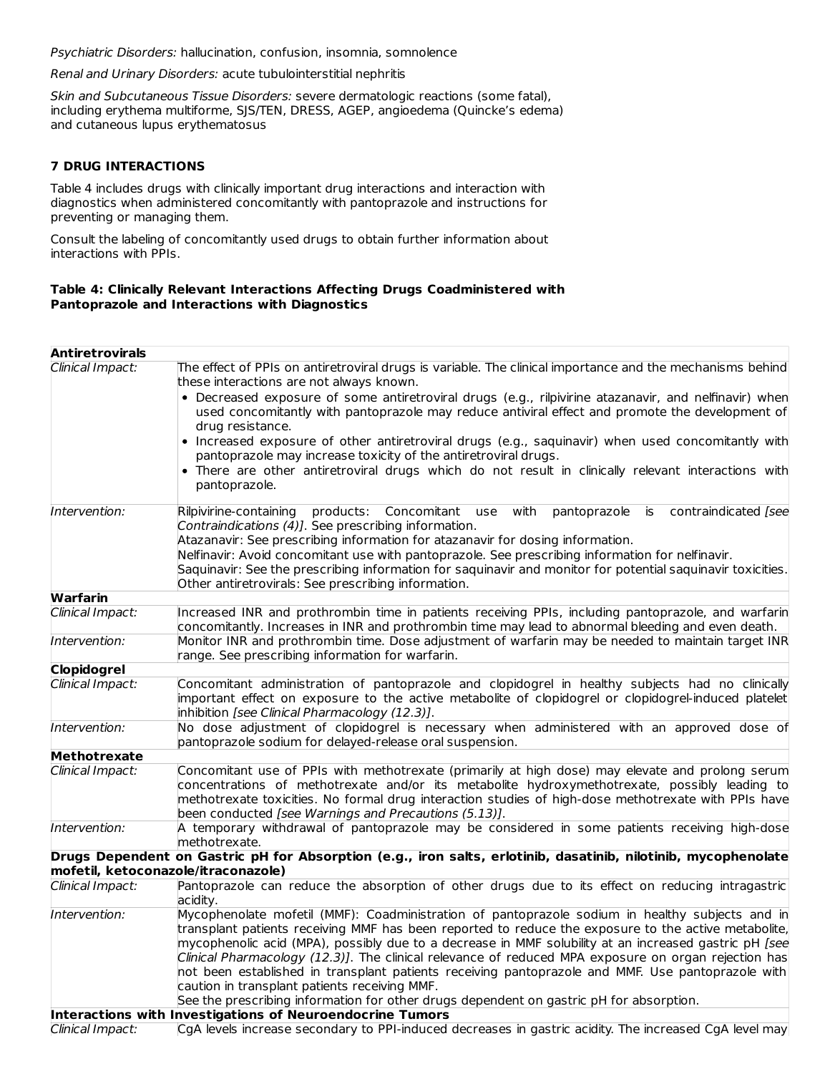Psychiatric Disorders: hallucination, confusion, insomnia, somnolence

Renal and Urinary Disorders: acute tubulointerstitial nephritis

Skin and Subcutaneous Tissue Disorders: severe dermatologic reactions (some fatal), including erythema multiforme, SJS/TEN, DRESS, AGEP, angioedema (Quincke's edema) and cutaneous lupus erythematosus

## **7 DRUG INTERACTIONS**

Table 4 includes drugs with clinically important drug interactions and interaction with diagnostics when administered concomitantly with pantoprazole and instructions for preventing or managing them.

Consult the labeling of concomitantly used drugs to obtain further information about interactions with PPIs.

### **Table 4: Clinically Relevant Interactions Affecting Drugs Coadministered with Pantoprazole and Interactions with Diagnostics**

| <b>Antiretrovirals</b> |                                                                                                                |
|------------------------|----------------------------------------------------------------------------------------------------------------|
| Clinical Impact:       | The effect of PPIs on antiretroviral drugs is variable. The clinical importance and the mechanisms behind      |
|                        | these interactions are not always known.                                                                       |
|                        | • Decreased exposure of some antiretroviral drugs (e.g., rilpivirine atazanavir, and nelfinavir) when          |
|                        | used concomitantly with pantoprazole may reduce antiviral effect and promote the development of                |
|                        | drug resistance.                                                                                               |
|                        | • Increased exposure of other antiretroviral drugs (e.g., saquinavir) when used concomitantly with             |
|                        | pantoprazole may increase toxicity of the antiretroviral drugs.                                                |
|                        | • There are other antiretroviral drugs which do not result in clinically relevant interactions with            |
|                        | pantoprazole.                                                                                                  |
| Intervention:          | Rilpivirine-containing<br>products: Concomitant use with<br>pantoprazole is<br>contraindicated [see            |
|                        | Contraindications (4)]. See prescribing information.                                                           |
|                        | Atazanavir: See prescribing information for atazanavir for dosing information.                                 |
|                        | Nelfinavir: Avoid concomitant use with pantoprazole. See prescribing information for nelfinavir.               |
|                        | Saquinavir: See the prescribing information for saquinavir and monitor for potential saquinavir toxicities.    |
|                        | Other antiretrovirals: See prescribing information.                                                            |
| Warfarin               |                                                                                                                |
| Clinical Impact:       | Increased INR and prothrombin time in patients receiving PPIs, including pantoprazole, and warfarin            |
|                        | concomitantly. Increases in INR and prothrombin time may lead to abnormal bleeding and even death.             |
| Intervention:          | Monitor INR and prothrombin time. Dose adjustment of warfarin may be needed to maintain target INR             |
|                        | range. See prescribing information for warfarin.                                                               |
| <b>Clopidogrel</b>     |                                                                                                                |
| Clinical Impact:       | Concomitant administration of pantoprazole and clopidogrel in healthy subjects had no clinically               |
|                        | important effect on exposure to the active metabolite of clopidogrel or clopidogrel-induced platelet           |
|                        | inhibition [see Clinical Pharmacology (12.3)].                                                                 |
| Intervention:          | No dose adjustment of clopidogrel is necessary when administered with an approved dose of                      |
|                        | pantoprazole sodium for delayed-release oral suspension.                                                       |
| Methotrexate           |                                                                                                                |
| Clinical Impact:       | Concomitant use of PPIs with methotrexate (primarily at high dose) may elevate and prolong serum               |
|                        | concentrations of methotrexate and/or its metabolite hydroxymethotrexate, possibly leading to                  |
|                        | methotrexate toxicities. No formal drug interaction studies of high-dose methotrexate with PPIs have           |
|                        | been conducted [see Warnings and Precautions (5.13)].                                                          |
| Intervention:          | A temporary withdrawal of pantoprazole may be considered in some patients receiving high-dose                  |
|                        | methotrexate.                                                                                                  |
|                        | Drugs Dependent on Gastric pH for Absorption (e.g., iron salts, erlotinib, dasatinib, nilotinib, mycophenolate |
|                        | mofetil, ketoconazole/itraconazole)                                                                            |
| Clinical Impact:       | Pantoprazole can reduce the absorption of other drugs due to its effect on reducing intragastric<br>acidity.   |
| Intervention:          | Mycophenolate mofetil (MMF): Coadministration of pantoprazole sodium in healthy subjects and in                |
|                        | transplant patients receiving MMF has been reported to reduce the exposure to the active metabolite,           |
|                        | mycophenolic acid (MPA), possibly due to a decrease in MMF solubility at an increased gastric pH [see          |
|                        | Clinical Pharmacology (12.3)]. The clinical relevance of reduced MPA exposure on organ rejection has           |
|                        | not been established in transplant patients receiving pantoprazole and MMF. Use pantoprazole with              |
|                        | caution in transplant patients receiving MMF.                                                                  |
|                        | See the prescribing information for other drugs dependent on gastric pH for absorption.                        |
|                        | Interactions with Investigations of Neuroendocrine Tumors                                                      |
| Clinical Impact:       | CgA levels increase secondary to PPI-induced decreases in gastric acidity. The increased CgA level may         |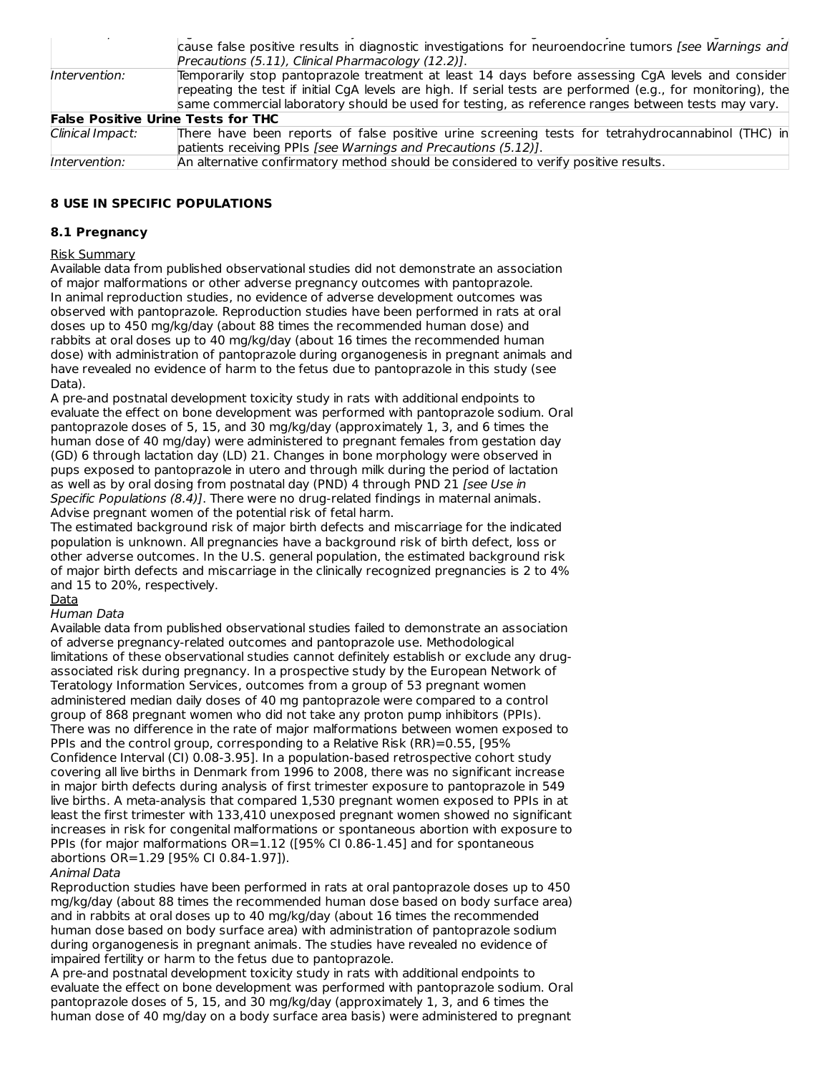|                  | cause false positive results in diagnostic investigations for neuroendocrine tumors [see Warnings and        |
|------------------|--------------------------------------------------------------------------------------------------------------|
|                  | Precautions (5.11), Clinical Pharmacology (12.2)].                                                           |
| Intervention:    | Temporarily stop pantoprazole treatment at least 14 days before assessing CgA levels and consider            |
|                  | repeating the test if initial CgA levels are high. If serial tests are performed (e.g., for monitoring), the |
|                  | same commercial laboratory should be used for testing, as reference ranges between tests may vary.           |
|                  | <b>False Positive Urine Tests for THC</b>                                                                    |
| Clinical Impact: | There have been reports of false positive urine screening tests for tetrahydrocannabinol (THC) in            |
|                  | patients receiving PPIs [see Warnings and Precautions (5.12)].                                               |
| Intervention:    | An alternative confirmatory method should be considered to verify positive results.                          |

### **8 USE IN SPECIFIC POPULATIONS**

### **8.1 Pregnancy**

### Risk Summary

Available data from published observational studies did not demonstrate an association of major malformations or other adverse pregnancy outcomes with pantoprazole. In animal reproduction studies, no evidence of adverse development outcomes was observed with pantoprazole. Reproduction studies have been performed in rats at oral doses up to 450 mg/kg/day (about 88 times the recommended human dose) and rabbits at oral doses up to 40 mg/kg/day (about 16 times the recommended human dose) with administration of pantoprazole during organogenesis in pregnant animals and have revealed no evidence of harm to the fetus due to pantoprazole in this study (see Data).

A pre-and postnatal development toxicity study in rats with additional endpoints to evaluate the effect on bone development was performed with pantoprazole sodium. Oral pantoprazole doses of 5, 15, and 30 mg/kg/day (approximately 1, 3, and 6 times the human dose of 40 mg/day) were administered to pregnant females from gestation day (GD) 6 through lactation day (LD) 21. Changes in bone morphology were observed in pups exposed to pantoprazole in utero and through milk during the period of lactation as well as by oral dosing from postnatal day (PND) 4 through PND 21 [see Use in Specific Populations (8.4)]. There were no drug-related findings in maternal animals. Advise pregnant women of the potential risk of fetal harm.

The estimated background risk of major birth defects and miscarriage for the indicated population is unknown. All pregnancies have a background risk of birth defect, loss or other adverse outcomes. In the U.S. general population, the estimated background risk of major birth defects and miscarriage in the clinically recognized pregnancies is 2 to 4% and 15 to 20%, respectively.

## **Data**

### Human Data

Available data from published observational studies failed to demonstrate an association of adverse pregnancy-related outcomes and pantoprazole use. Methodological limitations of these observational studies cannot definitely establish or exclude any drugassociated risk during pregnancy. In a prospective study by the European Network of Teratology Information Services, outcomes from a group of 53 pregnant women administered median daily doses of 40 mg pantoprazole were compared to a control group of 868 pregnant women who did not take any proton pump inhibitors (PPIs). There was no difference in the rate of major malformations between women exposed to PPIs and the control group, corresponding to a Relative Risk (RR)=0.55, [95% Confidence Interval (CI) 0.08-3.95]. In a population-based retrospective cohort study covering all live births in Denmark from 1996 to 2008, there was no significant increase in major birth defects during analysis of first trimester exposure to pantoprazole in 549 live births. A meta-analysis that compared 1,530 pregnant women exposed to PPIs in at least the first trimester with 133,410 unexposed pregnant women showed no significant increases in risk for congenital malformations or spontaneous abortion with exposure to PPIs (for major malformations OR=1.12 ([95% CI 0.86-1.45] and for spontaneous abortions OR=1.29 [95% CI 0.84-1.97]).

### Animal Data

Reproduction studies have been performed in rats at oral pantoprazole doses up to 450 mg/kg/day (about 88 times the recommended human dose based on body surface area) and in rabbits at oral doses up to 40 mg/kg/day (about 16 times the recommended human dose based on body surface area) with administration of pantoprazole sodium during organogenesis in pregnant animals. The studies have revealed no evidence of impaired fertility or harm to the fetus due to pantoprazole.

A pre-and postnatal development toxicity study in rats with additional endpoints to evaluate the effect on bone development was performed with pantoprazole sodium. Oral pantoprazole doses of 5, 15, and 30 mg/kg/day (approximately 1, 3, and 6 times the human dose of 40 mg/day on a body surface area basis) were administered to pregnant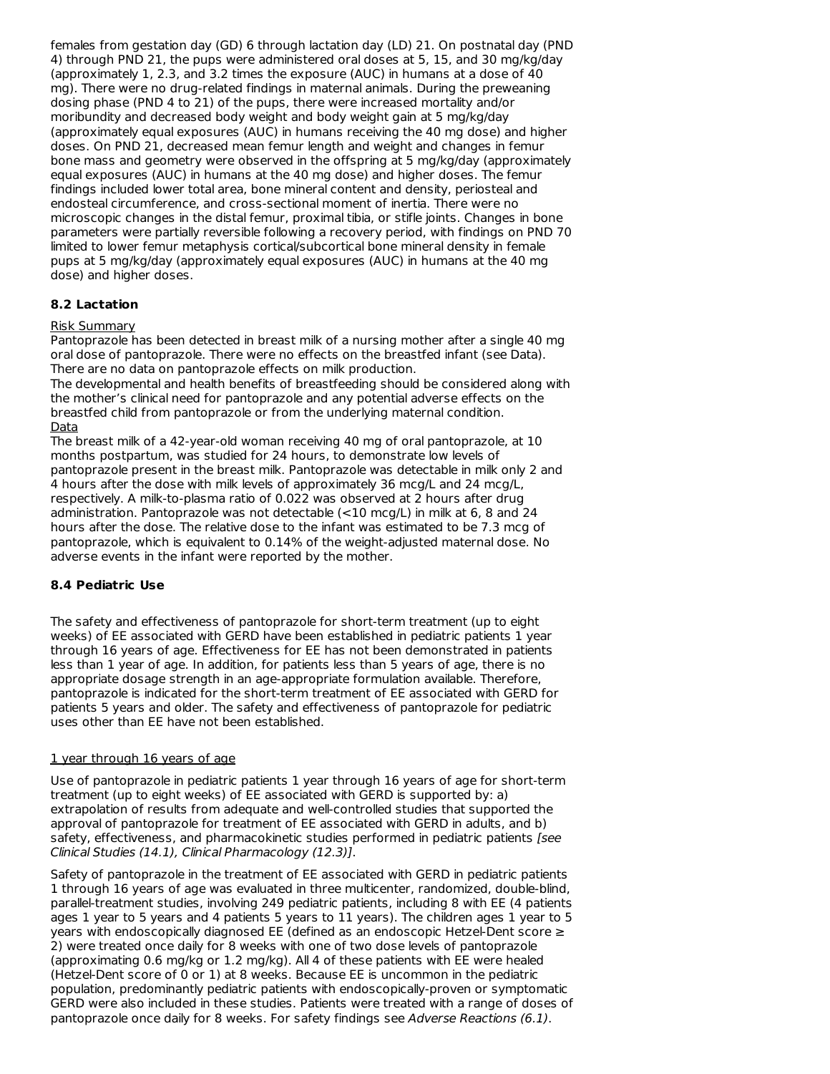females from gestation day (GD) 6 through lactation day (LD) 21. On postnatal day (PND 4) through PND 21, the pups were administered oral doses at 5, 15, and 30 mg/kg/day (approximately 1, 2.3, and 3.2 times the exposure (AUC) in humans at a dose of 40 mg). There were no drug-related findings in maternal animals. During the preweaning dosing phase (PND 4 to 21) of the pups, there were increased mortality and/or moribundity and decreased body weight and body weight gain at 5 mg/kg/day (approximately equal exposures (AUC) in humans receiving the 40 mg dose) and higher doses. On PND 21, decreased mean femur length and weight and changes in femur bone mass and geometry were observed in the offspring at 5 mg/kg/day (approximately equal exposures (AUC) in humans at the 40 mg dose) and higher doses. The femur findings included lower total area, bone mineral content and density, periosteal and endosteal circumference, and cross-sectional moment of inertia. There were no microscopic changes in the distal femur, proximal tibia, or stifle joints. Changes in bone parameters were partially reversible following a recovery period, with findings on PND 70 limited to lower femur metaphysis cortical/subcortical bone mineral density in female pups at 5 mg/kg/day (approximately equal exposures (AUC) in humans at the 40 mg dose) and higher doses.

### **8.2 Lactation**

#### Risk Summary

Pantoprazole has been detected in breast milk of a nursing mother after a single 40 mg oral dose of pantoprazole. There were no effects on the breastfed infant (see Data). There are no data on pantoprazole effects on milk production.

The developmental and health benefits of breastfeeding should be considered along with the mother's clinical need for pantoprazole and any potential adverse effects on the breastfed child from pantoprazole or from the underlying maternal condition. Data

The breast milk of a 42-year-old woman receiving 40 mg of oral pantoprazole, at 10 months postpartum, was studied for 24 hours, to demonstrate low levels of pantoprazole present in the breast milk. Pantoprazole was detectable in milk only 2 and 4 hours after the dose with milk levels of approximately 36 mcg/L and 24 mcg/L, respectively. A milk-to-plasma ratio of 0.022 was observed at 2 hours after drug administration. Pantoprazole was not detectable (<10 mcg/L) in milk at 6, 8 and 24 hours after the dose. The relative dose to the infant was estimated to be 7.3 mcg of pantoprazole, which is equivalent to 0.14% of the weight-adjusted maternal dose. No adverse events in the infant were reported by the mother.

### **8.4 Pediatric Use**

The safety and effectiveness of pantoprazole for short-term treatment (up to eight weeks) of EE associated with GERD have been established in pediatric patients 1 year through 16 years of age. Effectiveness for EE has not been demonstrated in patients less than 1 year of age. In addition, for patients less than 5 years of age, there is no appropriate dosage strength in an age-appropriate formulation available. Therefore, pantoprazole is indicated for the short-term treatment of EE associated with GERD for patients 5 years and older. The safety and effectiveness of pantoprazole for pediatric uses other than EE have not been established.

#### 1 year through 16 years of age

Use of pantoprazole in pediatric patients 1 year through 16 years of age for short-term treatment (up to eight weeks) of EE associated with GERD is supported by: a) extrapolation of results from adequate and well-controlled studies that supported the approval of pantoprazole for treatment of EE associated with GERD in adults, and b) safety, effectiveness, and pharmacokinetic studies performed in pediatric patients [see Clinical Studies (14.1), Clinical Pharmacology (12.3)].

Safety of pantoprazole in the treatment of EE associated with GERD in pediatric patients 1 through 16 years of age was evaluated in three multicenter, randomized, double-blind, parallel-treatment studies, involving 249 pediatric patients, including 8 with EE (4 patients ages 1 year to 5 years and 4 patients 5 years to 11 years). The children ages 1 year to 5 years with endoscopically diagnosed EE (defined as an endoscopic Hetzel-Dent score ≥ 2) were treated once daily for 8 weeks with one of two dose levels of pantoprazole (approximating 0.6 mg/kg or 1.2 mg/kg). All 4 of these patients with EE were healed (Hetzel-Dent score of 0 or 1) at 8 weeks. Because EE is uncommon in the pediatric population, predominantly pediatric patients with endoscopically-proven or symptomatic GERD were also included in these studies. Patients were treated with a range of doses of pantoprazole once daily for 8 weeks. For safety findings see Adverse Reactions (6.1).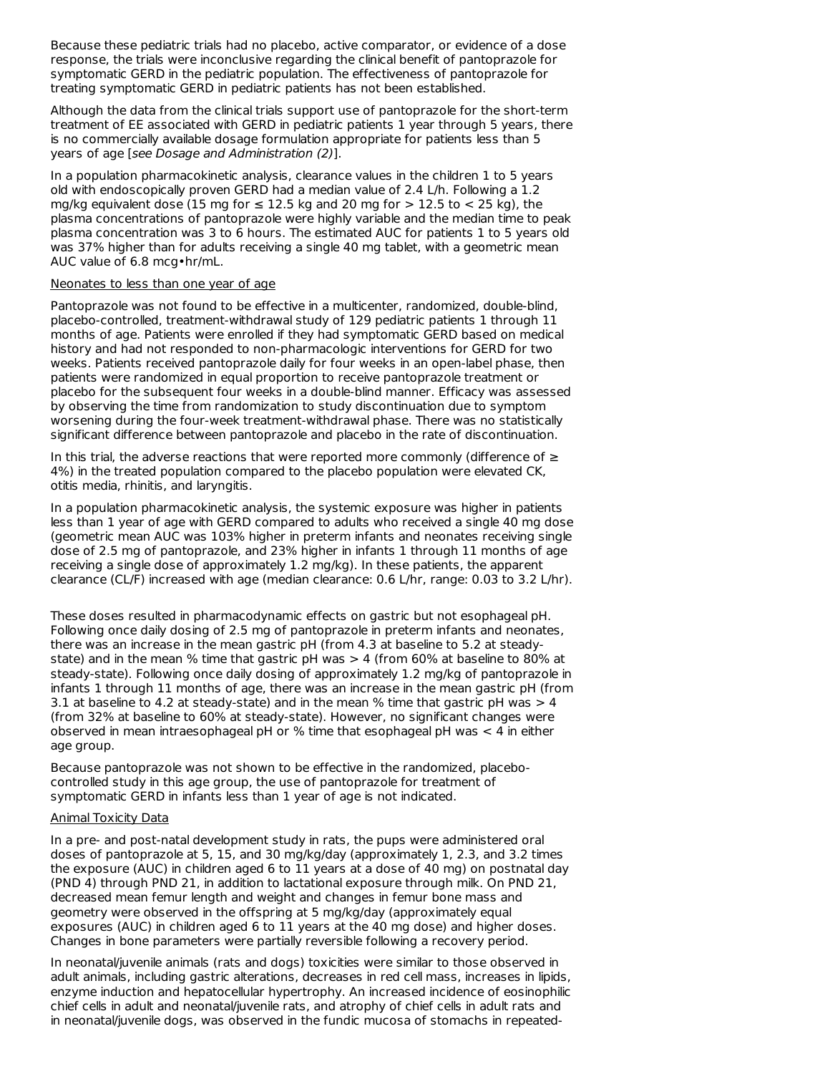Because these pediatric trials had no placebo, active comparator, or evidence of a dose response, the trials were inconclusive regarding the clinical benefit of pantoprazole for symptomatic GERD in the pediatric population. The effectiveness of pantoprazole for treating symptomatic GERD in pediatric patients has not been established.

Although the data from the clinical trials support use of pantoprazole for the short-term treatment of EE associated with GERD in pediatric patients 1 year through 5 years, there is no commercially available dosage formulation appropriate for patients less than 5 years of age [see Dosage and Administration (2)].

In a population pharmacokinetic analysis, clearance values in the children 1 to 5 years old with endoscopically proven GERD had a median value of 2.4 L/h. Following a 1.2 mg/kg equivalent dose (15 mg for  $\leq$  12.5 kg and 20 mg for  $>$  12.5 to  $<$  25 kg), the plasma concentrations of pantoprazole were highly variable and the median time to peak plasma concentration was 3 to 6 hours. The estimated AUC for patients 1 to 5 years old was 37% higher than for adults receiving a single 40 mg tablet, with a geometric mean AUC value of 6.8 mcg•hr/mL.

#### Neonates to less than one year of age

Pantoprazole was not found to be effective in a multicenter, randomized, double-blind, placebo-controlled, treatment-withdrawal study of 129 pediatric patients 1 through 11 months of age. Patients were enrolled if they had symptomatic GERD based on medical history and had not responded to non-pharmacologic interventions for GERD for two weeks. Patients received pantoprazole daily for four weeks in an open-label phase, then patients were randomized in equal proportion to receive pantoprazole treatment or placebo for the subsequent four weeks in a double-blind manner. Efficacy was assessed by observing the time from randomization to study discontinuation due to symptom worsening during the four-week treatment-withdrawal phase. There was no statistically significant difference between pantoprazole and placebo in the rate of discontinuation.

In this trial, the adverse reactions that were reported more commonly (difference of  $\geq$ 4%) in the treated population compared to the placebo population were elevated CK, otitis media, rhinitis, and laryngitis.

In a population pharmacokinetic analysis, the systemic exposure was higher in patients less than 1 year of age with GERD compared to adults who received a single 40 mg dose (geometric mean AUC was 103% higher in preterm infants and neonates receiving single dose of 2.5 mg of pantoprazole, and 23% higher in infants 1 through 11 months of age receiving a single dose of approximately 1.2 mg/kg). In these patients, the apparent clearance (CL/F) increased with age (median clearance: 0.6 L/hr, range: 0.03 to 3.2 L/hr).

These doses resulted in pharmacodynamic effects on gastric but not esophageal pH. Following once daily dosing of 2.5 mg of pantoprazole in preterm infants and neonates, there was an increase in the mean gastric pH (from 4.3 at baseline to 5.2 at steadystate) and in the mean % time that gastric pH was  $> 4$  (from 60% at baseline to 80% at steady-state). Following once daily dosing of approximately 1.2 mg/kg of pantoprazole in infants 1 through 11 months of age, there was an increase in the mean gastric pH (from 3.1 at baseline to 4.2 at steady-state) and in the mean % time that gastric pH was  $> 4$ (from 32% at baseline to 60% at steady-state). However, no significant changes were observed in mean intraesophageal pH or % time that esophageal pH was  $<$  4 in either age group.

Because pantoprazole was not shown to be effective in the randomized, placebocontrolled study in this age group, the use of pantoprazole for treatment of symptomatic GERD in infants less than 1 year of age is not indicated.

#### Animal Toxicity Data

In a pre- and post-natal development study in rats, the pups were administered oral doses of pantoprazole at 5, 15, and 30 mg/kg/day (approximately 1, 2.3, and 3.2 times the exposure (AUC) in children aged 6 to 11 years at a dose of 40 mg) on postnatal day (PND 4) through PND 21, in addition to lactational exposure through milk. On PND 21, decreased mean femur length and weight and changes in femur bone mass and geometry were observed in the offspring at 5 mg/kg/day (approximately equal exposures (AUC) in children aged 6 to 11 years at the 40 mg dose) and higher doses. Changes in bone parameters were partially reversible following a recovery period.

In neonatal/juvenile animals (rats and dogs) toxicities were similar to those observed in adult animals, including gastric alterations, decreases in red cell mass, increases in lipids, enzyme induction and hepatocellular hypertrophy. An increased incidence of eosinophilic chief cells in adult and neonatal/juvenile rats, and atrophy of chief cells in adult rats and in neonatal/juvenile dogs, was observed in the fundic mucosa of stomachs in repeated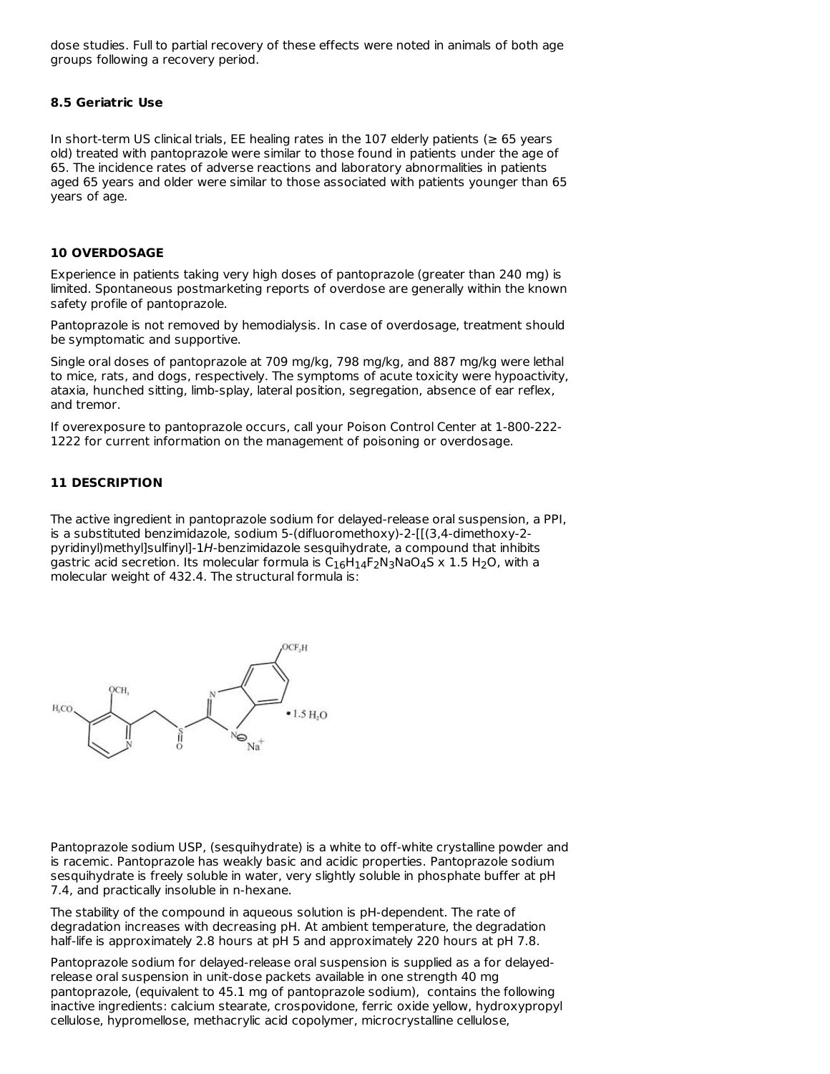dose studies. Full to partial recovery of these effects were noted in animals of both age groups following a recovery period.

#### **8.5 Geriatric Use**

In short-term US clinical trials, EE healing rates in the 107 elderly patients ( $\geq 65$  years old) treated with pantoprazole were similar to those found in patients under the age of 65. The incidence rates of adverse reactions and laboratory abnormalities in patients aged 65 years and older were similar to those associated with patients younger than 65 years of age.

### **10 OVERDOSAGE**

Experience in patients taking very high doses of pantoprazole (greater than 240 mg) is limited. Spontaneous postmarketing reports of overdose are generally within the known safety profile of pantoprazole.

Pantoprazole is not removed by hemodialysis. In case of overdosage, treatment should be symptomatic and supportive.

Single oral doses of pantoprazole at 709 mg/kg, 798 mg/kg, and 887 mg/kg were lethal to mice, rats, and dogs, respectively. The symptoms of acute toxicity were hypoactivity, ataxia, hunched sitting, limb-splay, lateral position, segregation, absence of ear reflex, and tremor.

If overexposure to pantoprazole occurs, call your Poison Control Center at 1-800-222- 1222 for current information on the management of poisoning or overdosage.

#### **11 DESCRIPTION**

The active ingredient in pantoprazole sodium for delayed-release oral suspension, a PPI, is a substituted benzimidazole, sodium 5-(difluoromethoxy)-2-[[(3,4-dimethoxy-2 pyridinyl)methyl]sulfinyl]-1H-benzimidazole sesquihydrate, a compound that inhibits gastric acid secretion. Its molecular formula is  $\mathsf{C}_{16}\mathsf{H}_{14}\mathsf{F}_{2}\mathsf{N}_{3}\mathsf{N}$ aO $_4$ S x 1.5 H $_2$ O, with a molecular weight of 432.4. The structural formula is:



Pantoprazole sodium USP, (sesquihydrate) is a white to off-white crystalline powder and is racemic. Pantoprazole has weakly basic and acidic properties. Pantoprazole sodium sesquihydrate is freely soluble in water, very slightly soluble in phosphate buffer at pH 7.4, and practically insoluble in n-hexane.

The stability of the compound in aqueous solution is pH-dependent. The rate of degradation increases with decreasing pH. At ambient temperature, the degradation half-life is approximately 2.8 hours at pH 5 and approximately 220 hours at pH 7.8.

Pantoprazole sodium for delayed-release oral suspension is supplied as a for delayedrelease oral suspension in unit-dose packets available in one strength 40 mg pantoprazole, (equivalent to 45.1 mg of pantoprazole sodium), contains the following inactive ingredients: calcium stearate, crospovidone, ferric oxide yellow, hydroxypropyl cellulose, hypromellose, methacrylic acid copolymer, microcrystalline cellulose,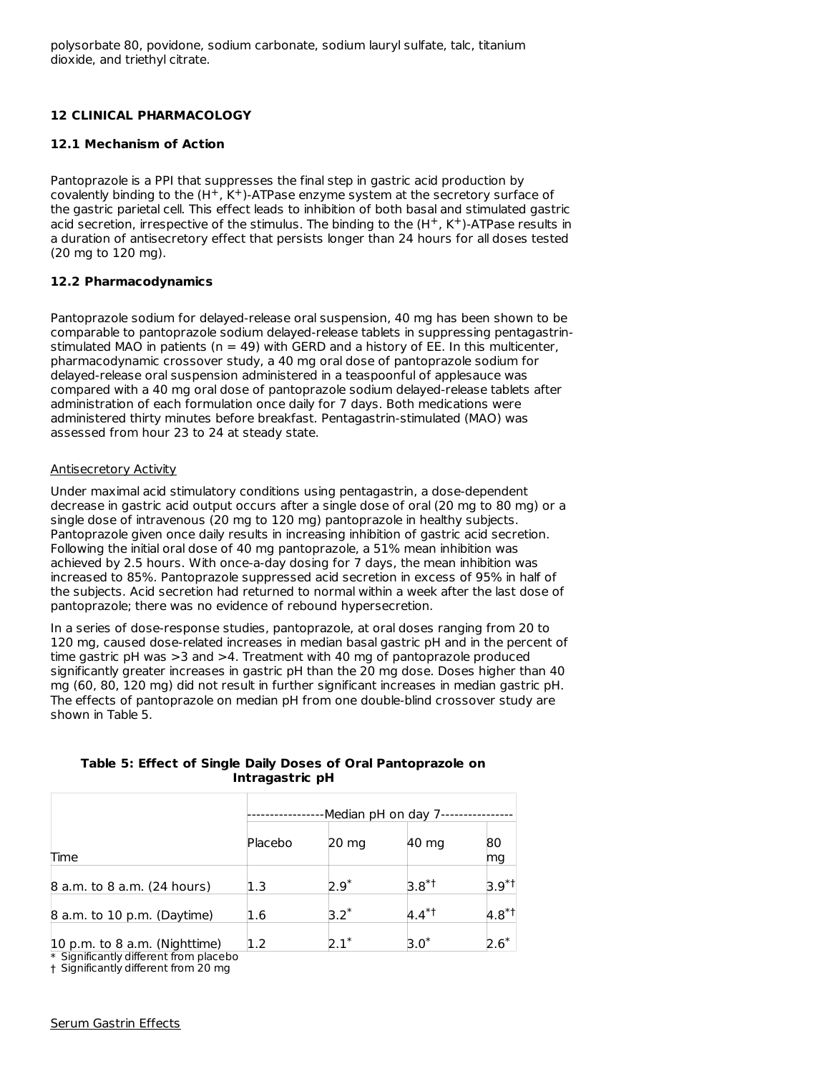## **12 CLINICAL PHARMACOLOGY**

### **12.1 Mechanism of Action**

Pantoprazole is a PPI that suppresses the final step in gastric acid production by covalently binding to the  $(H^+, K^+)$ -ATPase enzyme system at the secretory surface of the gastric parietal cell. This effect leads to inhibition of both basal and stimulated gastric acid secretion, irrespective of the stimulus. The binding to the  $(H^+, K^+)$ -ATPase results in a duration of antisecretory effect that persists longer than 24 hours for all doses tested (20 mg to 120 mg).

### **12.2 Pharmacodynamics**

Pantoprazole sodium for delayed-release oral suspension, 40 mg has been shown to be comparable to pantoprazole sodium delayed-release tablets in suppressing pentagastrinstimulated MAO in patients ( $n = 49$ ) with GERD and a history of EE. In this multicenter, pharmacodynamic crossover study, a 40 mg oral dose of pantoprazole sodium for delayed-release oral suspension administered in a teaspoonful of applesauce was compared with a 40 mg oral dose of pantoprazole sodium delayed-release tablets after administration of each formulation once daily for 7 days. Both medications were administered thirty minutes before breakfast. Pentagastrin-stimulated (MAO) was assessed from hour 23 to 24 at steady state.

#### Antisecretory Activity

Under maximal acid stimulatory conditions using pentagastrin, a dose-dependent decrease in gastric acid output occurs after a single dose of oral (20 mg to 80 mg) or a single dose of intravenous (20 mg to 120 mg) pantoprazole in healthy subjects. Pantoprazole given once daily results in increasing inhibition of gastric acid secretion. Following the initial oral dose of 40 mg pantoprazole, a 51% mean inhibition was achieved by 2.5 hours. With once-a-day dosing for 7 days, the mean inhibition was increased to 85%. Pantoprazole suppressed acid secretion in excess of 95% in half of the subjects. Acid secretion had returned to normal within a week after the last dose of pantoprazole; there was no evidence of rebound hypersecretion.

In a series of dose-response studies, pantoprazole, at oral doses ranging from 20 to 120 mg, caused dose-related increases in median basal gastric pH and in the percent of time gastric pH was >3 and >4. Treatment with 40 mg of pantoprazole produced significantly greater increases in gastric pH than the 20 mg dose. Doses higher than 40 mg (60, 80, 120 mg) did not result in further significant increases in median gastric pH. The effects of pantoprazole on median pH from one double-blind crossover study are shown in Table 5.

**Table 5: Effect of Single Daily Doses of Oral Pantoprazole on Intragastric pH**

|                               | -Median pH on day 7- |         |             |             |
|-------------------------------|----------------------|---------|-------------|-------------|
| Time                          | Placebo              | 20 mg   | 40 mg       | 80<br>mg    |
| 8 a.m. to 8 a.m. (24 hours)   | 1.3                  | $2.9^*$ | $3.8^{*}$ t | $3.9^{*}$ t |
| 8 a.m. to 10 p.m. (Daytime)   | 1.6                  | $3.2^*$ | $4.4**$     | $4.8^{*}$ t |
| 10 p.m. to 8 a.m. (Nighttime) | 1.2                  |         | $3.0^*$     |             |

\* Significantly different from placebo

† Significantly different from 20 mg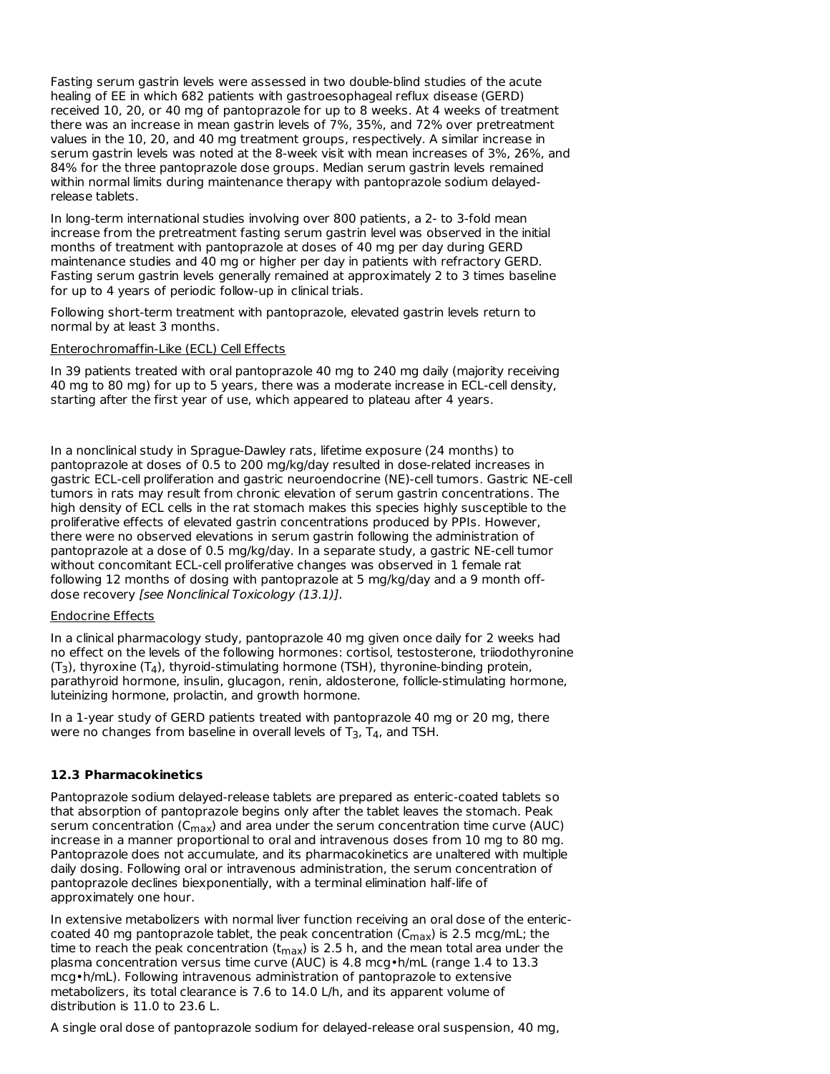Fasting serum gastrin levels were assessed in two double-blind studies of the acute healing of EE in which 682 patients with gastroesophageal reflux disease (GERD) received 10, 20, or 40 mg of pantoprazole for up to 8 weeks. At 4 weeks of treatment there was an increase in mean gastrin levels of 7%, 35%, and 72% over pretreatment values in the 10, 20, and 40 mg treatment groups, respectively. A similar increase in serum gastrin levels was noted at the 8-week visit with mean increases of 3%, 26%, and 84% for the three pantoprazole dose groups. Median serum gastrin levels remained within normal limits during maintenance therapy with pantoprazole sodium delayedrelease tablets.

In long-term international studies involving over 800 patients, a 2- to 3-fold mean increase from the pretreatment fasting serum gastrin level was observed in the initial months of treatment with pantoprazole at doses of 40 mg per day during GERD maintenance studies and 40 mg or higher per day in patients with refractory GERD. Fasting serum gastrin levels generally remained at approximately 2 to 3 times baseline for up to 4 years of periodic follow-up in clinical trials.

Following short-term treatment with pantoprazole, elevated gastrin levels return to normal by at least 3 months.

#### Enterochromaffin-Like (ECL) Cell Effects

In 39 patients treated with oral pantoprazole 40 mg to 240 mg daily (majority receiving 40 mg to 80 mg) for up to 5 years, there was a moderate increase in ECL-cell density, starting after the first year of use, which appeared to plateau after 4 years.

In a nonclinical study in Sprague-Dawley rats, lifetime exposure (24 months) to pantoprazole at doses of 0.5 to 200 mg/kg/day resulted in dose-related increases in gastric ECL-cell proliferation and gastric neuroendocrine (NE)-cell tumors. Gastric NE-cell tumors in rats may result from chronic elevation of serum gastrin concentrations. The high density of ECL cells in the rat stomach makes this species highly susceptible to the proliferative effects of elevated gastrin concentrations produced by PPIs. However, there were no observed elevations in serum gastrin following the administration of pantoprazole at a dose of 0.5 mg/kg/day. In a separate study, a gastric NE-cell tumor without concomitant ECL-cell proliferative changes was observed in 1 female rat following 12 months of dosing with pantoprazole at 5 mg/kg/day and a 9 month offdose recovery [see Nonclinical Toxicology (13.1)].

### Endocrine Effects

In a clinical pharmacology study, pantoprazole 40 mg given once daily for 2 weeks had no effect on the levels of the following hormones: cortisol, testosterone, triiodothyronine  $(T_3)$ , thyroxine (T<sub>4</sub>), thyroid-stimulating hormone (TSH), thyronine-binding protein, parathyroid hormone, insulin, glucagon, renin, aldosterone, follicle-stimulating hormone, luteinizing hormone, prolactin, and growth hormone.

In a 1-year study of GERD patients treated with pantoprazole 40 mg or 20 mg, there were no changes from baseline in overall levels of T $_3$ , T $_4$ , and TSH.

#### **12.3 Pharmacokinetics**

Pantoprazole sodium delayed-release tablets are prepared as enteric-coated tablets so that absorption of pantoprazole begins only after the tablet leaves the stomach. Peak serum concentration (C $_{\sf max}$ ) and area under the serum concentration time curve (AUC) increase in a manner proportional to oral and intravenous doses from 10 mg to 80 mg. Pantoprazole does not accumulate, and its pharmacokinetics are unaltered with multiple daily dosing. Following oral or intravenous administration, the serum concentration of pantoprazole declines biexponentially, with a terminal elimination half-life of approximately one hour.

In extensive metabolizers with normal liver function receiving an oral dose of the entericcoated 40 mg pantoprazole tablet, the peak concentration (C $_{\sf max}$ ) is 2.5 mcg/mL; the time to reach the peak concentration (t<sub>max</sub>) is 2.5 h, and the mean total area under the plasma concentration versus time curve (AUC) is 4.8 mcg•h/mL (range 1.4 to 13.3 mcg•h/mL). Following intravenous administration of pantoprazole to extensive metabolizers, its total clearance is 7.6 to 14.0 L/h, and its apparent volume of distribution is 11.0 to 23.6 L.

A single oral dose of pantoprazole sodium for delayed-release oral suspension, 40 mg,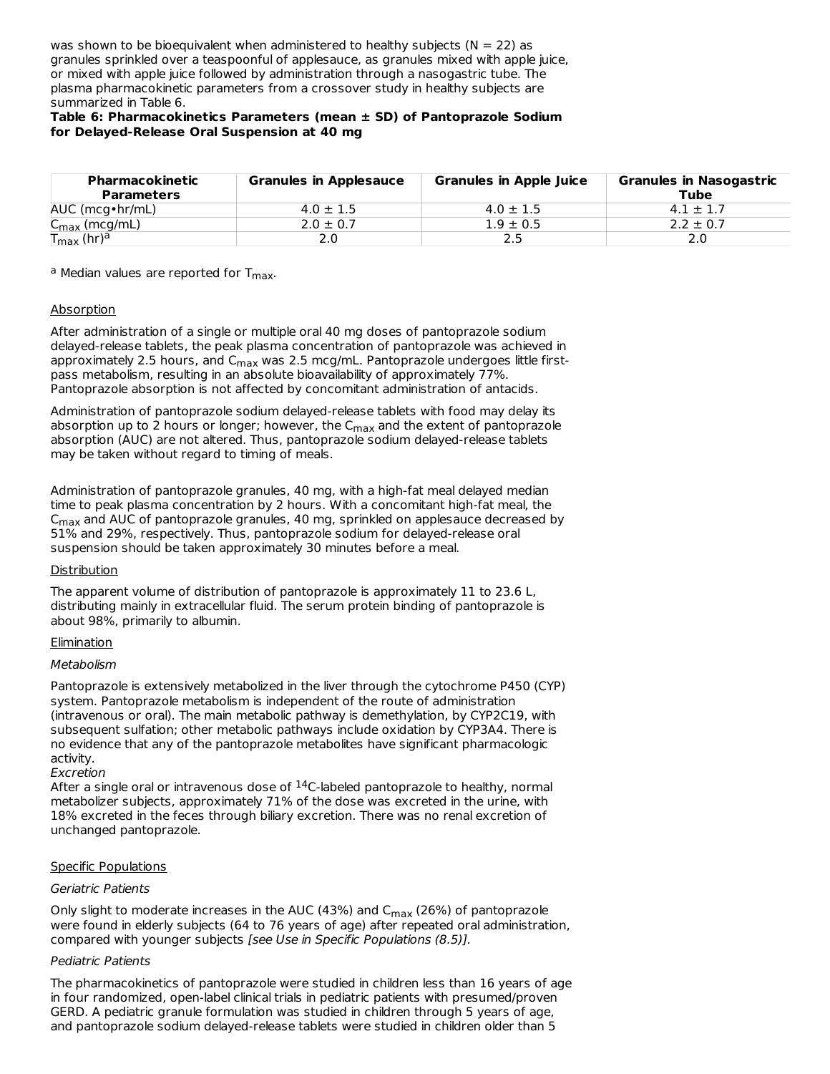was shown to be bioequivalent when administered to healthy subjects ( $N = 22$ ) as granules sprinkled over a teaspoonful of applesauce, as granules mixed with apple juice, or mixed with apple juice followed by administration through a nasogastric tube. The plasma pharmacokinetic parameters from a crossover study in healthy subjects are summarized in Table 6.

### **Table 6: Pharmacokinetics Parameters (mean ± SD) of Pantoprazole Sodium for Delayed-Release Oral Suspension at 40 mg**

| Pharmacokinetic<br><b>Parameters</b>          | <b>Granules in Applesauce</b> | <b>Granules in Apple Juice</b> | <b>Granules in Nasogastric</b><br>Tube |
|-----------------------------------------------|-------------------------------|--------------------------------|----------------------------------------|
| $AUC$ (mcg $\cdot$ hr/mL)                     | $4.0 \pm 1.5$                 | $4.0 \pm 1.5$                  | $4.1 \pm 1.7$                          |
| $\sim$<br>$C_{\text{max}}$ (mcg/mL)           | $2.0 \pm 0.7$                 | $1.9 \pm 0.5$                  | $2.2 \pm 0.7$                          |
| $\mathsf{T}_{\mathsf{max}}$ (hr) <sup>a</sup> | 2.0                           | 2.5                            |                                        |

<sup>a</sup> Median values are reported for T<sub>max</sub>.

### Absorption

After administration of a single or multiple oral 40 mg doses of pantoprazole sodium delayed-release tablets, the peak plasma concentration of pantoprazole was achieved in approximately 2.5 hours, and C<sub>max</sub> was 2.5 mcg/mL. Pantoprazole undergoes little firstpass metabolism, resulting in an absolute bioavailability of approximately 77%. Pantoprazole absorption is not affected by concomitant administration of antacids.

Administration of pantoprazole sodium delayed-release tablets with food may delay its absorption up to 2 hours or longer; however, the  $C_{\rm max}$  and the extent of pantoprazole absorption (AUC) are not altered. Thus, pantoprazole sodium delayed-release tablets may be taken without regard to timing of meals.

Administration of pantoprazole granules, 40 mg, with a high-fat meal delayed median time to peak plasma concentration by 2 hours. With a concomitant high-fat meal, the  $\mathsf{C}_{\mathsf{max}}$  and AUC of pantoprazole granules, 40 mg, sprinkled on applesauce decreased by 51% and 29%, respectively. Thus, pantoprazole sodium for delayed-release oral suspension should be taken approximately 30 minutes before a meal.

#### **Distribution**

The apparent volume of distribution of pantoprazole is approximately 11 to 23.6 L, distributing mainly in extracellular fluid. The serum protein binding of pantoprazole is about 98%, primarily to albumin.

#### **Elimination**

#### Metabolism

Pantoprazole is extensively metabolized in the liver through the cytochrome P450 (CYP) system. Pantoprazole metabolism is independent of the route of administration (intravenous or oral). The main metabolic pathway is demethylation, by CYP2C19, with subsequent sulfation; other metabolic pathways include oxidation by CYP3A4. There is no evidence that any of the pantoprazole metabolites have significant pharmacologic activity.

#### Excretion

After a single oral or intravenous dose of  $^{14}$ C-labeled pantoprazole to healthy, normal metabolizer subjects, approximately 71% of the dose was excreted in the urine, with 18% excreted in the feces through biliary excretion. There was no renal excretion of unchanged pantoprazole.

#### Specific Populations

#### Geriatric Patients

Only slight to moderate increases in the AUC (43%) and C<sub>max</sub> (26%) of pantoprazole were found in elderly subjects (64 to 76 years of age) after repeated oral administration, compared with younger subjects [see Use in Specific Populations (8.5)].

#### Pediatric Patients

The pharmacokinetics of pantoprazole were studied in children less than 16 years of age in four randomized, open-label clinical trials in pediatric patients with presumed/proven GERD. A pediatric granule formulation was studied in children through 5 years of age, and pantoprazole sodium delayed-release tablets were studied in children older than 5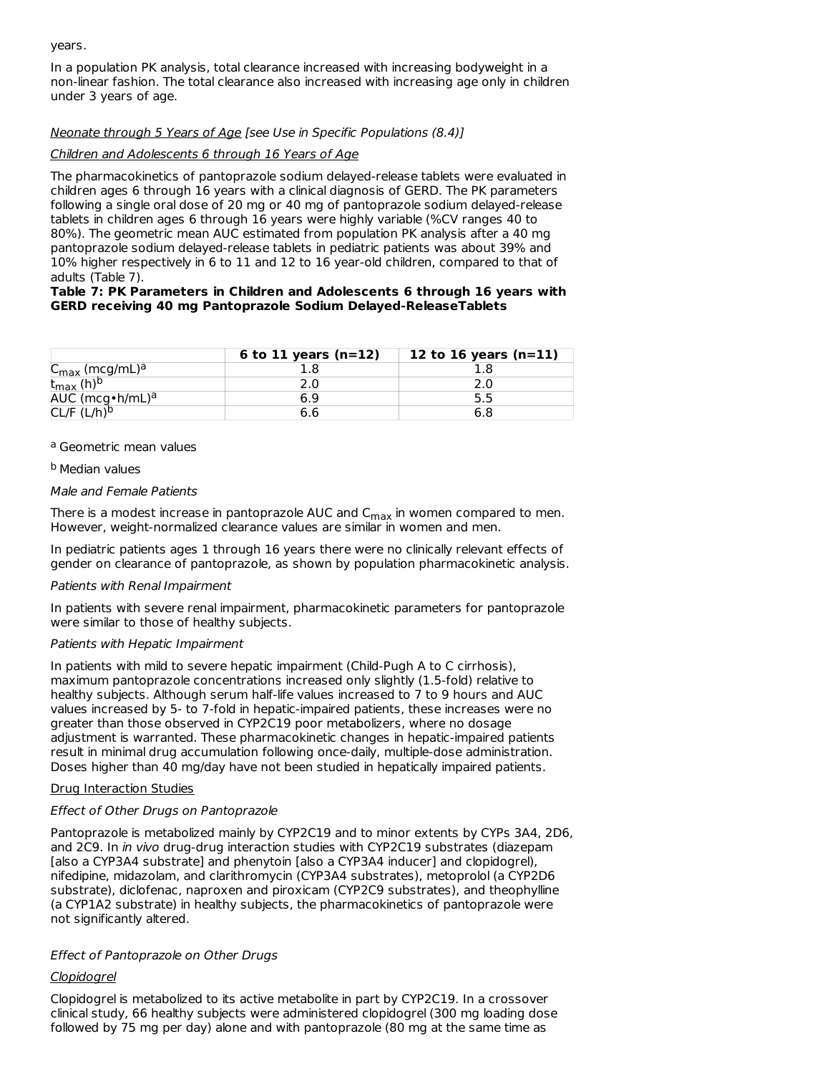years.

In a population PK analysis, total clearance increased with increasing bodyweight in a non-linear fashion. The total clearance also increased with increasing age only in children under 3 years of age.

### Neonate through 5 Years of Age [see Use in Specific Populations (8.4)]

### Children and Adolescents 6 through 16 Years of Age

The pharmacokinetics of pantoprazole sodium delayed-release tablets were evaluated in children ages 6 through 16 years with a clinical diagnosis of GERD. The PK parameters following a single oral dose of 20 mg or 40 mg of pantoprazole sodium delayed-release tablets in children ages 6 through 16 years were highly variable (%CV ranges 40 to 80%). The geometric mean AUC estimated from population PK analysis after a 40 mg pantoprazole sodium delayed-release tablets in pediatric patients was about 39% and 10% higher respectively in 6 to 11 and 12 to 16 year-old children, compared to that of adults (Table 7).

#### **Table 7: PK Parameters in Children and Adolescents 6 through 16 years with GERD receiving 40 mg Pantoprazole Sodium Delayed-ReleaseTablets**

|                                        | 6 to 11 years $(n=12)$ | 12 to 16 years $(n=11)$ |
|----------------------------------------|------------------------|-------------------------|
| C <sub>max</sub> (mcg/mL) <sup>a</sup> |                        |                         |
| $t_{\text{max}}$                       |                        |                         |
| AUC (mcg $\cdot$ h/mL) <sup>a</sup>    |                        |                         |
| /h) $\iota$                            |                        |                         |

#### a Geometric mean values

### <sup>b</sup> Median values

#### Male and Female Patients

There is a modest increase in pantoprazole AUC and  $C_{\sf max}$  in women compared to men. However, weight-normalized clearance values are similar in women and men.

In pediatric patients ages 1 through 16 years there were no clinically relevant effects of gender on clearance of pantoprazole, as shown by population pharmacokinetic analysis.

#### Patients with Renal Impairment

In patients with severe renal impairment, pharmacokinetic parameters for pantoprazole were similar to those of healthy subjects.

#### Patients with Hepatic Impairment

In patients with mild to severe hepatic impairment (Child-Pugh A to C cirrhosis), maximum pantoprazole concentrations increased only slightly (1.5-fold) relative to healthy subjects. Although serum half-life values increased to 7 to 9 hours and AUC values increased by 5- to 7-fold in hepatic-impaired patients, these increases were no greater than those observed in CYP2C19 poor metabolizers, where no dosage adjustment is warranted. These pharmacokinetic changes in hepatic-impaired patients result in minimal drug accumulation following once-daily, multiple-dose administration. Doses higher than 40 mg/day have not been studied in hepatically impaired patients.

#### Drug Interaction Studies

### Effect of Other Drugs on Pantoprazole

Pantoprazole is metabolized mainly by CYP2C19 and to minor extents by CYPs 3A4, 2D6, and 2C9. In *in vivo* drug-drug interaction studies with CYP2C19 substrates (diazepam [also a CYP3A4 substrate] and phenytoin [also a CYP3A4 inducer] and clopidogrel), nifedipine, midazolam, and clarithromycin (CYP3A4 substrates), metoprolol (a CYP2D6 substrate), diclofenac, naproxen and piroxicam (CYP2C9 substrates), and theophylline (a CYP1A2 substrate) in healthy subjects, the pharmacokinetics of pantoprazole were not significantly altered.

### Effect of Pantoprazole on Other Drugs

### Clopidogrel

Clopidogrel is metabolized to its active metabolite in part by CYP2C19. In a crossover clinical study, 66 healthy subjects were administered clopidogrel (300 mg loading dose followed by 75 mg per day) alone and with pantoprazole (80 mg at the same time as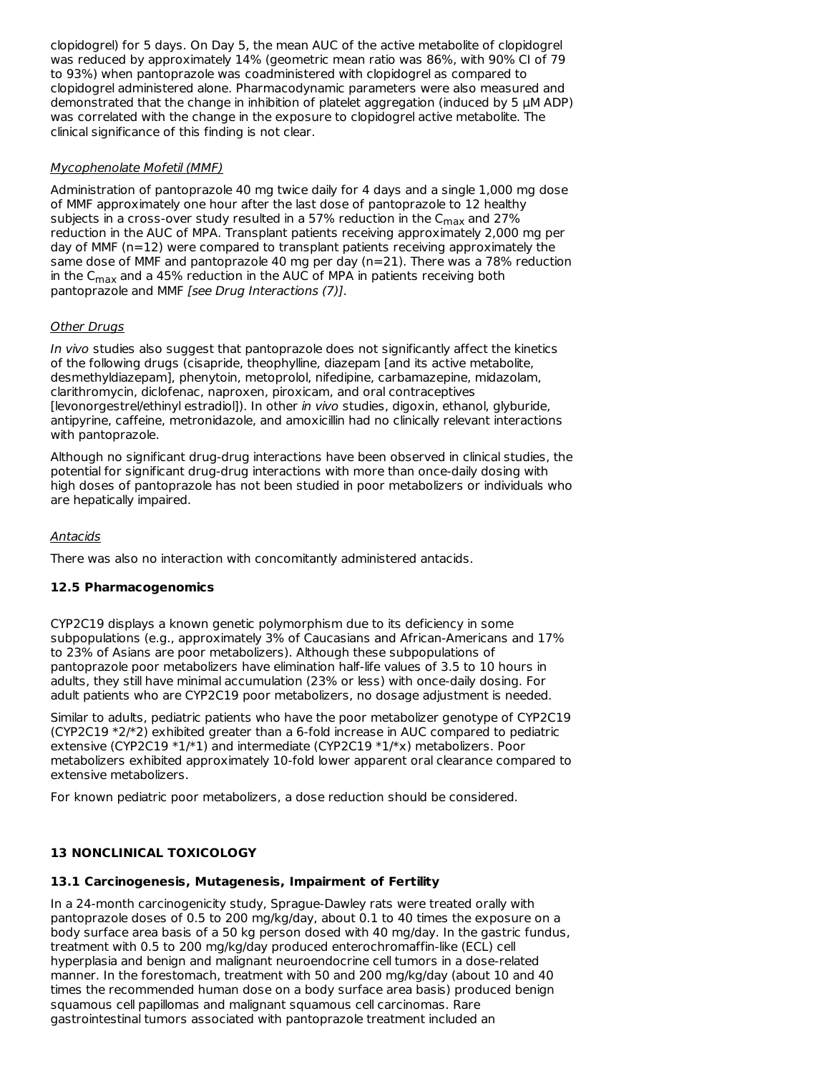clopidogrel) for 5 days. On Day 5, the mean AUC of the active metabolite of clopidogrel was reduced by approximately 14% (geometric mean ratio was 86%, with 90% CI of 79 to 93%) when pantoprazole was coadministered with clopidogrel as compared to clopidogrel administered alone. Pharmacodynamic parameters were also measured and demonstrated that the change in inhibition of platelet aggregation (induced by 5  $\mu$ M ADP) was correlated with the change in the exposure to clopidogrel active metabolite. The clinical significance of this finding is not clear.

### Mycophenolate Mofetil (MMF)

Administration of pantoprazole 40 mg twice daily for 4 days and a single 1,000 mg dose of MMF approximately one hour after the last dose of pantoprazole to 12 healthy subjects in a cross-over study resulted in a 57% reduction in the  $\mathsf{C}_{\mathsf{max}}$  and 27% reduction in the AUC of MPA. Transplant patients receiving approximately 2,000 mg per day of MMF (n=12) were compared to transplant patients receiving approximately the same dose of MMF and pantoprazole 40 mg per day (n=21). There was a 78% reduction in the C<sub>max</sub> and a 45% reduction in the AUC of MPA in patients receiving both pantoprazole and MMF [see Drug Interactions (7)].

### **Other Drugs**

In vivo studies also suggest that pantoprazole does not significantly affect the kinetics of the following drugs (cisapride, theophylline, diazepam [and its active metabolite, desmethyldiazepam], phenytoin, metoprolol, nifedipine, carbamazepine, midazolam, clarithromycin, diclofenac, naproxen, piroxicam, and oral contraceptives [levonorgestrel/ethinyl estradiol]). In other in vivo studies, digoxin, ethanol, glyburide, antipyrine, caffeine, metronidazole, and amoxicillin had no clinically relevant interactions with pantoprazole.

Although no significant drug-drug interactions have been observed in clinical studies, the potential for significant drug-drug interactions with more than once-daily dosing with high doses of pantoprazole has not been studied in poor metabolizers or individuals who are hepatically impaired.

### Antacids

There was also no interaction with concomitantly administered antacids.

### **12.5 Pharmacogenomics**

CYP2C19 displays a known genetic polymorphism due to its deficiency in some subpopulations (e.g., approximately 3% of Caucasians and African-Americans and 17% to 23% of Asians are poor metabolizers). Although these subpopulations of pantoprazole poor metabolizers have elimination half-life values of 3.5 to 10 hours in adults, they still have minimal accumulation (23% or less) with once-daily dosing. For adult patients who are CYP2C19 poor metabolizers, no dosage adjustment is needed.

Similar to adults, pediatric patients who have the poor metabolizer genotype of CYP2C19 (CYP2C19 \*2/\*2) exhibited greater than a 6-fold increase in AUC compared to pediatric extensive (CYP2C19 \*1/\*1) and intermediate (CYP2C19 \*1/\*x) metabolizers. Poor metabolizers exhibited approximately 10-fold lower apparent oral clearance compared to extensive metabolizers.

For known pediatric poor metabolizers, a dose reduction should be considered.

### **13 NONCLINICAL TOXICOLOGY**

## **13.1 Carcinogenesis, Mutagenesis, Impairment of Fertility**

In a 24-month carcinogenicity study, Sprague-Dawley rats were treated orally with pantoprazole doses of 0.5 to 200 mg/kg/day, about 0.1 to 40 times the exposure on a body surface area basis of a 50 kg person dosed with 40 mg/day. In the gastric fundus, treatment with 0.5 to 200 mg/kg/day produced enterochromaffin-like (ECL) cell hyperplasia and benign and malignant neuroendocrine cell tumors in a dose-related manner. In the forestomach, treatment with 50 and 200 mg/kg/day (about 10 and 40 times the recommended human dose on a body surface area basis) produced benign squamous cell papillomas and malignant squamous cell carcinomas. Rare gastrointestinal tumors associated with pantoprazole treatment included an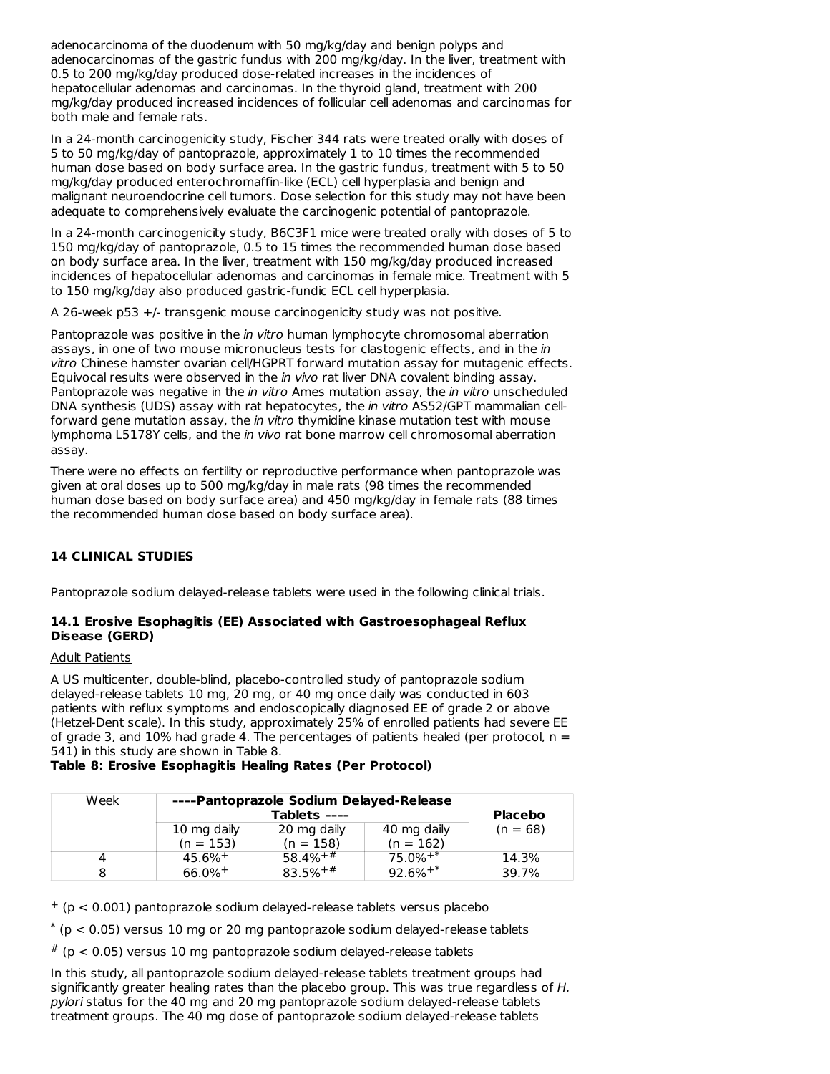adenocarcinoma of the duodenum with 50 mg/kg/day and benign polyps and adenocarcinomas of the gastric fundus with 200 mg/kg/day. In the liver, treatment with 0.5 to 200 mg/kg/day produced dose-related increases in the incidences of hepatocellular adenomas and carcinomas. In the thyroid gland, treatment with 200 mg/kg/day produced increased incidences of follicular cell adenomas and carcinomas for both male and female rats.

In a 24-month carcinogenicity study, Fischer 344 rats were treated orally with doses of 5 to 50 mg/kg/day of pantoprazole, approximately 1 to 10 times the recommended human dose based on body surface area. In the gastric fundus, treatment with 5 to 50 mg/kg/day produced enterochromaffin-like (ECL) cell hyperplasia and benign and malignant neuroendocrine cell tumors. Dose selection for this study may not have been adequate to comprehensively evaluate the carcinogenic potential of pantoprazole.

In a 24-month carcinogenicity study, B6C3F1 mice were treated orally with doses of 5 to 150 mg/kg/day of pantoprazole, 0.5 to 15 times the recommended human dose based on body surface area. In the liver, treatment with 150 mg/kg/day produced increased incidences of hepatocellular adenomas and carcinomas in female mice. Treatment with 5 to 150 mg/kg/day also produced gastric-fundic ECL cell hyperplasia.

A 26-week p53 +/- transgenic mouse carcinogenicity study was not positive.

Pantoprazole was positive in the in vitro human lymphocyte chromosomal aberration assays, in one of two mouse micronucleus tests for clastogenic effects, and in the in vitro Chinese hamster ovarian cell/HGPRT forward mutation assay for mutagenic effects. Equivocal results were observed in the *in vivo* rat liver DNA covalent binding assay. Pantoprazole was negative in the in vitro Ames mutation assay, the in vitro unscheduled DNA synthesis (UDS) assay with rat hepatocytes, the in vitro AS52/GPT mammalian cellforward gene mutation assay, the *in vitro* thymidine kinase mutation test with mouse lymphoma L5178Y cells, and the in vivo rat bone marrow cell chromosomal aberration assay.

There were no effects on fertility or reproductive performance when pantoprazole was given at oral doses up to 500 mg/kg/day in male rats (98 times the recommended human dose based on body surface area) and 450 mg/kg/day in female rats (88 times the recommended human dose based on body surface area).

## **14 CLINICAL STUDIES**

Pantoprazole sodium delayed-release tablets were used in the following clinical trials.

### **14.1 Erosive Esophagitis (EE) Associated with Gastroesophageal Reflux Disease (GERD)**

#### Adult Patients

A US multicenter, double-blind, placebo-controlled study of pantoprazole sodium delayed-release tablets 10 mg, 20 mg, or 40 mg once daily was conducted in 603 patients with reflux symptoms and endoscopically diagnosed EE of grade 2 or above (Hetzel-Dent scale). In this study, approximately 25% of enrolled patients had severe EE of grade 3, and 10% had grade 4. The percentages of patients healed (per protocol,  $n =$ 541) in this study are shown in Table 8.

#### **Table 8: Erosive Esophagitis Healing Rates (Per Protocol)**

| Week | ----Pantoprazole Sodium Delayed-Release |              |                        |                |
|------|-----------------------------------------|--------------|------------------------|----------------|
|      | Tablets ----                            |              |                        | <b>Placebo</b> |
|      | 10 mg daily                             | 20 mg daily  | 40 mg daily            | $(n = 68)$     |
|      | $(n = 153)$                             | $(n = 158)$  | $(n = 162)$            |                |
|      | $45.6\%$ <sup>+</sup>                   | $58.4%^{+#}$ | $75.0\%$ <sup>+*</sup> | 14.3%          |
|      | $66.0\%$ <sup>+</sup>                   | $83.5%^{+#}$ | $92.6%^{+*}$           | 39.7%          |

 $+$  (p < 0.001) pantoprazole sodium delayed-release tablets versus placebo

 $*$  (p < 0.05) versus 10 mg or 20 mg pantoprazole sodium delayed-release tablets

 $*$  (p < 0.05) versus 10 mg pantoprazole sodium delayed-release tablets

In this study, all pantoprazole sodium delayed-release tablets treatment groups had significantly greater healing rates than the placebo group. This was true regardless of H. pylori status for the 40 mg and 20 mg pantoprazole sodium delayed-release tablets treatment groups. The 40 mg dose of pantoprazole sodium delayed-release tablets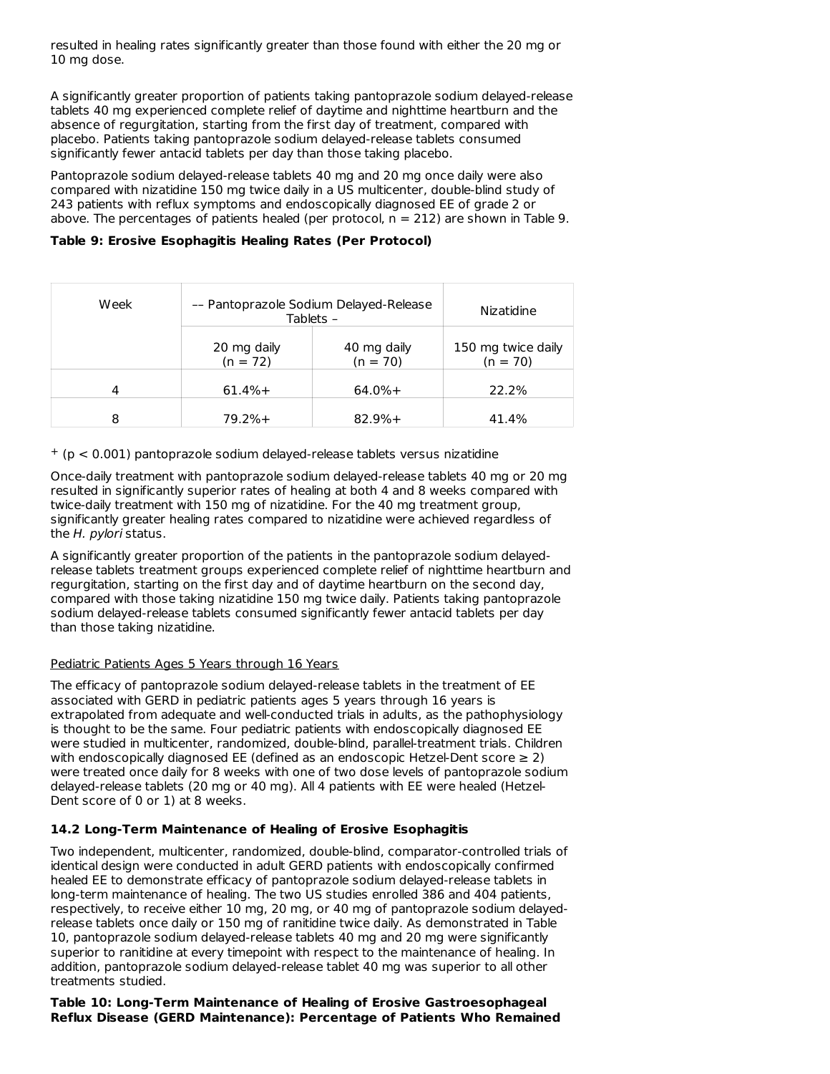resulted in healing rates significantly greater than those found with either the 20 mg or 10 mg dose.

A significantly greater proportion of patients taking pantoprazole sodium delayed-release tablets 40 mg experienced complete relief of daytime and nighttime heartburn and the absence of regurgitation, starting from the first day of treatment, compared with placebo. Patients taking pantoprazole sodium delayed-release tablets consumed significantly fewer antacid tablets per day than those taking placebo.

Pantoprazole sodium delayed-release tablets 40 mg and 20 mg once daily were also compared with nizatidine 150 mg twice daily in a US multicenter, double-blind study of 243 patients with reflux symptoms and endoscopically diagnosed EE of grade 2 or above. The percentages of patients healed (per protocol,  $n = 212$ ) are shown in Table 9.

**Table 9: Erosive Esophagitis Healing Rates (Per Protocol)**

| Week | -- Pantoprazole Sodium Delayed-Release<br>Tablets - |                           | Nizatidine                       |
|------|-----------------------------------------------------|---------------------------|----------------------------------|
|      | 20 mg daily<br>$(n = 72)$                           | 40 mg daily<br>$(n = 70)$ | 150 mg twice daily<br>$(n = 70)$ |
| 4    | $61.4% +$                                           | $64.0% +$                 | 22.2%                            |
| 8    | $79.2%+$                                            | $82.9%+$                  | 41.4%                            |

 $+$  (p < 0.001) pantoprazole sodium delayed-release tablets versus nizatidine

Once-daily treatment with pantoprazole sodium delayed-release tablets 40 mg or 20 mg resulted in significantly superior rates of healing at both 4 and 8 weeks compared with twice-daily treatment with 150 mg of nizatidine. For the 40 mg treatment group, significantly greater healing rates compared to nizatidine were achieved regardless of the H. pylori status.

A significantly greater proportion of the patients in the pantoprazole sodium delayedrelease tablets treatment groups experienced complete relief of nighttime heartburn and regurgitation, starting on the first day and of daytime heartburn on the second day, compared with those taking nizatidine 150 mg twice daily. Patients taking pantoprazole sodium delayed-release tablets consumed significantly fewer antacid tablets per day than those taking nizatidine.

### Pediatric Patients Ages 5 Years through 16 Years

The efficacy of pantoprazole sodium delayed-release tablets in the treatment of EE associated with GERD in pediatric patients ages 5 years through 16 years is extrapolated from adequate and well-conducted trials in adults, as the pathophysiology is thought to be the same. Four pediatric patients with endoscopically diagnosed EE were studied in multicenter, randomized, double-blind, parallel-treatment trials. Children with endoscopically diagnosed EE (defined as an endoscopic Hetzel-Dent score  $\geq 2$ ) were treated once daily for 8 weeks with one of two dose levels of pantoprazole sodium delayed-release tablets (20 mg or 40 mg). All 4 patients with EE were healed (Hetzel-Dent score of 0 or 1) at 8 weeks.

### **14.2 Long-Term Maintenance of Healing of Erosive Esophagitis**

Two independent, multicenter, randomized, double-blind, comparator-controlled trials of identical design were conducted in adult GERD patients with endoscopically confirmed healed EE to demonstrate efficacy of pantoprazole sodium delayed-release tablets in long-term maintenance of healing. The two US studies enrolled 386 and 404 patients, respectively, to receive either 10 mg, 20 mg, or 40 mg of pantoprazole sodium delayedrelease tablets once daily or 150 mg of ranitidine twice daily. As demonstrated in Table 10, pantoprazole sodium delayed-release tablets 40 mg and 20 mg were significantly superior to ranitidine at every timepoint with respect to the maintenance of healing. In addition, pantoprazole sodium delayed-release tablet 40 mg was superior to all other treatments studied.

**Table 10: Long-Term Maintenance of Healing of Erosive Gastroesophageal Reflux Disease (GERD Maintenance): Percentage of Patients Who Remained**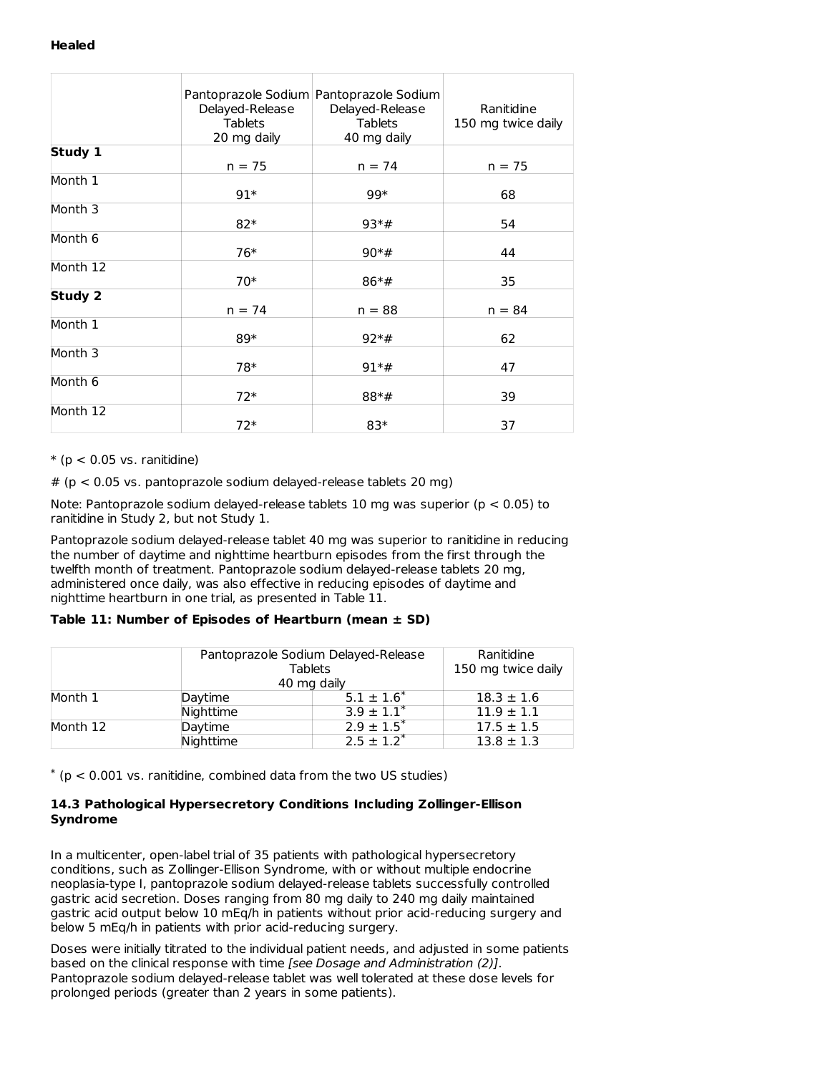### **Healed**

|            | Delayed-Release<br><b>Tablets</b><br>20 mg daily | Pantoprazole Sodium Pantoprazole Sodium<br>Delayed-Release<br><b>Tablets</b><br>40 mg daily | Ranitidine<br>150 mg twice daily |
|------------|--------------------------------------------------|---------------------------------------------------------------------------------------------|----------------------------------|
| Study 1    | $n = 75$                                         | $n = 74$                                                                                    | $n = 75$                         |
| Month 1    | $91*$                                            | 99*                                                                                         | 68                               |
| Month 3    | $82*$                                            | $93*#$                                                                                      | 54                               |
| Month $6$  | 76*                                              | $90*#$                                                                                      | 44                               |
| Month $12$ | $70*$                                            | $86*#$                                                                                      | 35                               |
| Study 2    | $n = 74$                                         | $n = 88$                                                                                    | $n = 84$                         |
| Month 1    | 89*                                              | $92*#$                                                                                      | 62                               |
| Month 3    | 78*                                              | $91*$ #                                                                                     | 47                               |
| Month 6    | $72*$                                            | $88*#$                                                                                      | 39                               |
| Month 12   | $72*$                                            | 83*                                                                                         | 37                               |

 $*(p < 0.05 \text{ vs. ramidine})$ 

 $# (p < 0.05 \text{ vs. pantoprazole sodium delayed-release tablets } 20 \text{ mg})$ 

Note: Pantoprazole sodium delayed-release tablets 10 mg was superior ( $p < 0.05$ ) to ranitidine in Study 2, but not Study 1.

Pantoprazole sodium delayed-release tablet 40 mg was superior to ranitidine in reducing the number of daytime and nighttime heartburn episodes from the first through the twelfth month of treatment. Pantoprazole sodium delayed-release tablets 20 mg, administered once daily, was also effective in reducing episodes of daytime and nighttime heartburn in one trial, as presented in Table 11.

### **Table 11: Number of Episodes of Heartburn (mean ± SD)**

|          |           | Pantoprazole Sodium Delayed-Release<br>Tablets |                |  |
|----------|-----------|------------------------------------------------|----------------|--|
|          |           | 40 mg daily                                    |                |  |
| Month 1  | Daytime   | $5.1 \pm 1.6^*$                                | $18.3 \pm 1.6$ |  |
|          | Nighttime | $3.9 \pm 1.1^*$                                | $11.9 \pm 1.1$ |  |
| Month 12 | Daytime   | $2.9 \pm 1.5^*$                                | $17.5 \pm 1.5$ |  |
|          | Niahttime | $2.5 + 1.2^*$                                  | $13.8 \pm 1.3$ |  |

 $*$  (p < 0.001 vs. ranitidine, combined data from the two US studies)

### **14.3 Pathological Hypersecretory Conditions Including Zollinger-Ellison Syndrome**

In a multicenter, open-label trial of 35 patients with pathological hypersecretory conditions, such as Zollinger-Ellison Syndrome, with or without multiple endocrine neoplasia-type I, pantoprazole sodium delayed-release tablets successfully controlled gastric acid secretion. Doses ranging from 80 mg daily to 240 mg daily maintained gastric acid output below 10 mEq/h in patients without prior acid-reducing surgery and below 5 mEq/h in patients with prior acid-reducing surgery.

Doses were initially titrated to the individual patient needs, and adjusted in some patients based on the clinical response with time [see Dosage and Administration (2)]. Pantoprazole sodium delayed-release tablet was well tolerated at these dose levels for prolonged periods (greater than 2 years in some patients).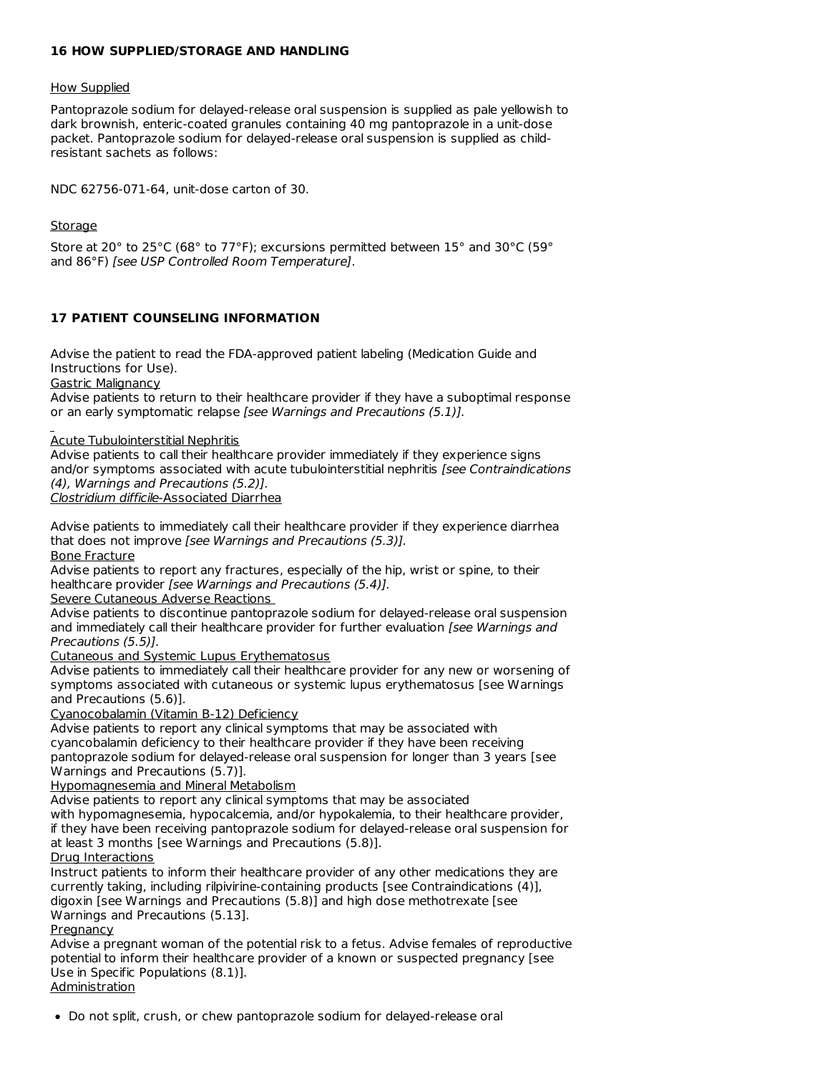### **16 HOW SUPPLIED/STORAGE AND HANDLING**

#### How Supplied

Pantoprazole sodium for delayed-release oral suspension is supplied as pale yellowish to dark brownish, enteric-coated granules containing 40 mg pantoprazole in a unit-dose packet. Pantoprazole sodium for delayed-release oral suspension is supplied as childresistant sachets as follows:

NDC 62756-071-64, unit-dose carton of 30.

### Storage

Store at 20° to 25°C (68° to 77°F); excursions permitted between 15° and 30°C (59° and 86°F) [see USP Controlled Room Temperature].

### **17 PATIENT COUNSELING INFORMATION**

Advise the patient to read the FDA-approved patient labeling (Medication Guide and Instructions for Use).

Gastric Malignancy

Advise patients to return to their healthcare provider if they have a suboptimal response or an early symptomatic relapse [see Warnings and Precautions (5.1)].

Acute Tubulointerstitial Nephritis

Advise patients to call their healthcare provider immediately if they experience signs and/or symptoms associated with acute tubulointerstitial nephritis [see Contraindications (4), Warnings and Precautions (5.2)].

Clostridium difficile-Associated Diarrhea

Advise patients to immediately call their healthcare provider if they experience diarrhea that does not improve [see Warnings and Precautions (5.3)]. Bone Fracture

Advise patients to report any fractures, especially of the hip, wrist or spine, to their healthcare provider [see Warnings and Precautions (5.4)].

Severe Cutaneous Adverse Reactions

Advise patients to discontinue pantoprazole sodium for delayed-release oral suspension and immediately call their healthcare provider for further evaluation [see Warnings and Precautions (5.5)].

Cutaneous and Systemic Lupus Erythematosus

Advise patients to immediately call their healthcare provider for any new or worsening of symptoms associated with cutaneous or systemic lupus erythematosus [see Warnings and Precautions (5.6)].

Cyanocobalamin (Vitamin B-12) Deficiency

Advise patients to report any clinical symptoms that may be associated with cyancobalamin deficiency to their healthcare provider if they have been receiving pantoprazole sodium for delayed-release oral suspension for longer than 3 years [see Warnings and Precautions (5.7)].

Hypomagnesemia and Mineral Metabolism

Advise patients to report any clinical symptoms that may be associated with hypomagnesemia, hypocalcemia, and/or hypokalemia, to their healthcare provider, if they have been receiving pantoprazole sodium for delayed-release oral suspension for at least 3 months [see Warnings and Precautions (5.8)].

Drug Interactions

Instruct patients to inform their healthcare provider of any other medications they are currently taking, including rilpivirine-containing products [see Contraindications (4)], digoxin [see Warnings and Precautions (5.8)] and high dose methotrexate [see Warnings and Precautions (5.13].

Pregnancy

Advise a pregnant woman of the potential risk to a fetus. Advise females of reproductive potential to inform their healthcare provider of a known or suspected pregnancy [see Use in Specific Populations (8.1)].

Administration

Do not split, crush, or chew pantoprazole sodium for delayed-release oral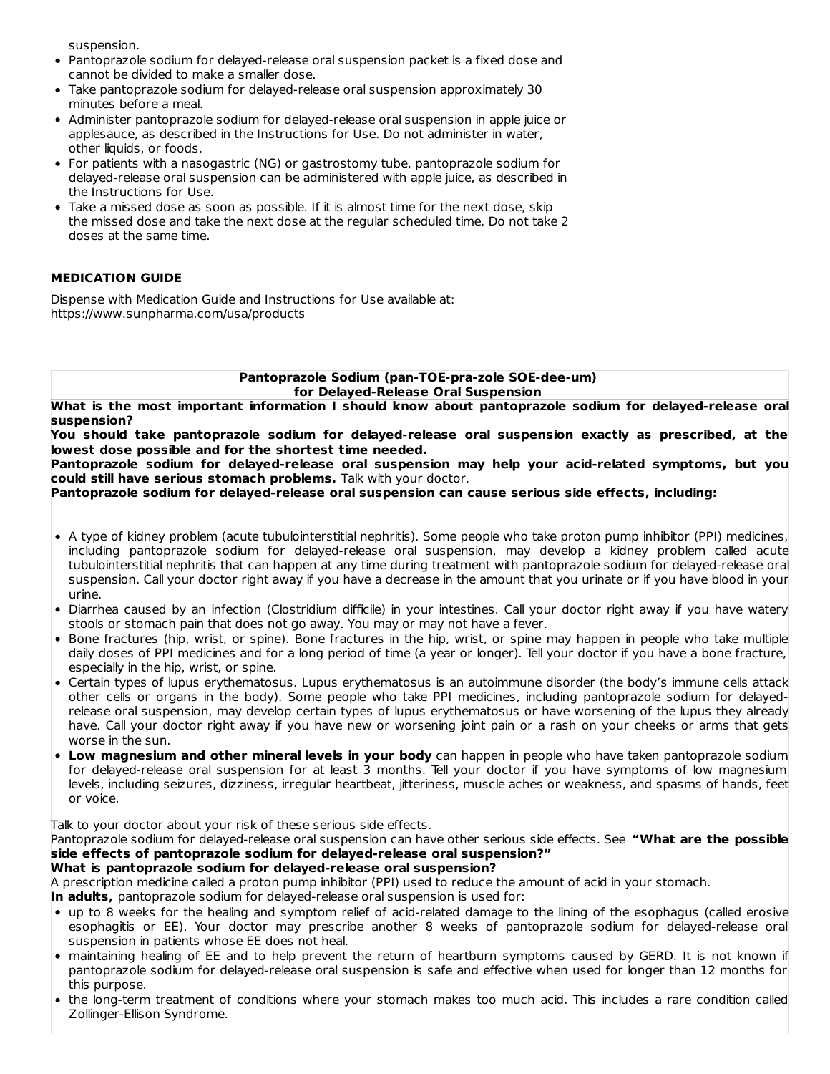suspension.

- Pantoprazole sodium for delayed-release oral suspension packet is a fixed dose and cannot be divided to make a smaller dose.
- Take pantoprazole sodium for delayed-release oral suspension approximately 30 minutes before a meal.
- Administer pantoprazole sodium for delayed-release oral suspension in apple juice or applesauce, as described in the Instructions for Use. Do not administer in water, other liquids, or foods.
- For patients with a nasogastric (NG) or gastrostomy tube, pantoprazole sodium for delayed-release oral suspension can be administered with apple juice, as described in the Instructions for Use.
- Take a missed dose as soon as possible. If it is almost time for the next dose, skip the missed dose and take the next dose at the regular scheduled time. Do not take 2 doses at the same time.

### **MEDICATION GUIDE**

Dispense with Medication Guide and Instructions for Use available at: https://www.sunpharma.com/usa/products

> **Pantoprazole Sodium (pan-TOE-pra-zole SOE-dee-um) for Delayed-Release Oral Suspension**

**What is the most important information I should know about pantoprazole sodium for delayed-release oral suspension?**

**You should take pantoprazole sodium for delayed-release oral suspension exactly as prescribed, at the lowest dose possible and for the shortest time needed.**

**Pantoprazole sodium for delayed-release oral suspension may help your acid-related symptoms, but you could still have serious stomach problems.** Talk with your doctor.

**Pantoprazole sodium for delayed-release oral suspension can cause serious side effects, including:**

- A type of kidney problem (acute tubulointerstitial nephritis). Some people who take proton pump inhibitor (PPI) medicines, including pantoprazole sodium for delayed-release oral suspension, may develop a kidney problem called acute tubulointerstitial nephritis that can happen at any time during treatment with pantoprazole sodium for delayed-release oral suspension. Call your doctor right away if you have a decrease in the amount that you urinate or if you have blood in your urine.
- Diarrhea caused by an infection (Clostridium difficile) in your intestines. Call your doctor right away if you have watery stools or stomach pain that does not go away. You may or may not have a fever.
- Bone fractures (hip, wrist, or spine). Bone fractures in the hip, wrist, or spine may happen in people who take multiple daily doses of PPI medicines and for a long period of time (a year or longer). Tell your doctor if you have a bone fracture, especially in the hip, wrist, or spine.
- Certain types of lupus erythematosus. Lupus erythematosus is an autoimmune disorder (the body's immune cells attack other cells or organs in the body). Some people who take PPI medicines, including pantoprazole sodium for delayedrelease oral suspension, may develop certain types of lupus erythematosus or have worsening of the lupus they already have. Call your doctor right away if you have new or worsening joint pain or a rash on your cheeks or arms that gets worse in the sun.
- **Low magnesium and other mineral levels in your body** can happen in people who have taken pantoprazole sodium for delayed-release oral suspension for at least 3 months. Tell your doctor if you have symptoms of low magnesium levels, including seizures, dizziness, irregular heartbeat, jitteriness, muscle aches or weakness, and spasms of hands, feet or voice.

Talk to your doctor about your risk of these serious side effects.

Pantoprazole sodium for delayed-release oral suspension can have other serious side effects. See **"What are the possible side effects of pantoprazole sodium for delayed-release oral suspension?"**

### **What is pantoprazole sodium for delayed-release oral suspension?**

A prescription medicine called a proton pump inhibitor (PPI) used to reduce the amount of acid in your stomach.

**In adults,** pantoprazole sodium for delayed-release oral suspension is used for:

- up to 8 weeks for the healing and symptom relief of acid-related damage to the lining of the esophagus (called erosive esophagitis or EE). Your doctor may prescribe another 8 weeks of pantoprazole sodium for delayed-release oral suspension in patients whose EE does not heal.
- maintaining healing of EE and to help prevent the return of heartburn symptoms caused by GERD. It is not known if pantoprazole sodium for delayed-release oral suspension is safe and effective when used for longer than 12 months for this purpose.
- the long-term treatment of conditions where your stomach makes too much acid. This includes a rare condition called Zollinger-Ellison Syndrome.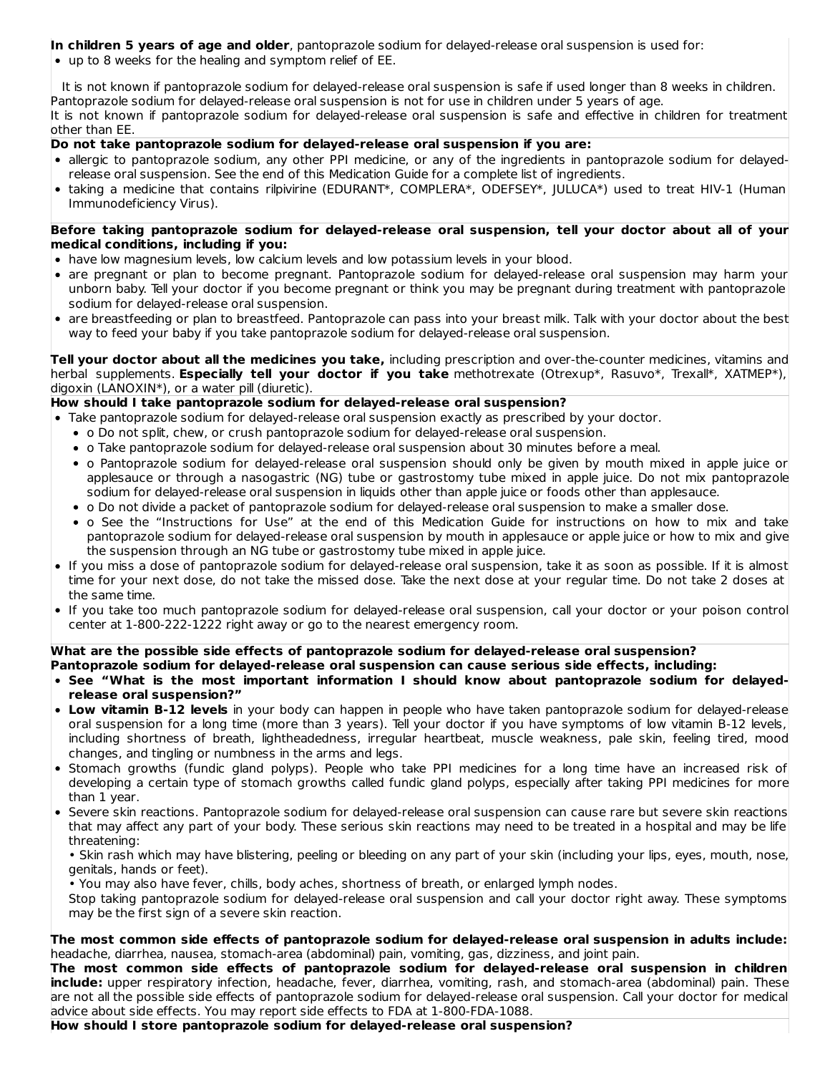## **In children 5 years of age and older**, pantoprazole sodium for delayed-release oral suspension is used for:

up to 8 weeks for the healing and symptom relief of EE.

It is not known if pantoprazole sodium for delayed-release oral suspension is safe if used longer than 8 weeks in children. Pantoprazole sodium for delayed-release oral suspension is not for use in children under 5 years of age. It is not known if pantoprazole sodium for delayed-release oral suspension is safe and effective in children for treatment other than EE.

### **Do not take pantoprazole sodium for delayed-release oral suspension if you are:**

- allergic to pantoprazole sodium, any other PPI medicine, or any of the ingredients in pantoprazole sodium for delayedrelease oral suspension. See the end of this Medication Guide for a complete list of ingredients.
- taking a medicine that contains rilpivirine (EDURANT\*, COMPLERA\*, ODEFSEY\*, JULUCA\*) used to treat HIV-1 (Human Immunodeficiency Virus).

#### **Before taking pantoprazole sodium for delayed-release oral suspension, tell your doctor about all of your medical conditions, including if you:**

- have low magnesium levels, low calcium levels and low potassium levels in your blood.
- are pregnant or plan to become pregnant. Pantoprazole sodium for delayed-release oral suspension may harm your unborn baby. Tell your doctor if you become pregnant or think you may be pregnant during treatment with pantoprazole sodium for delayed-release oral suspension.
- are breastfeeding or plan to breastfeed. Pantoprazole can pass into your breast milk. Talk with your doctor about the best way to feed your baby if you take pantoprazole sodium for delayed-release oral suspension.

**Tell your doctor about all the medicines you take,** including prescription and over-the-counter medicines, vitamins and herbal supplements. **Especially tell your doctor if you take** methotrexate (Otrexup\*, Rasuvo\*, Trexall\*, XATMEP\*), digoxin (LANOXIN\*), or a water pill (diuretic).

## **How should I take pantoprazole sodium for delayed-release oral suspension?**

- Take pantoprazole sodium for delayed-release oral suspension exactly as prescribed by your doctor.
	- o Do not split, chew, or crush pantoprazole sodium for delayed-release oral suspension.
	- o Take pantoprazole sodium for delayed-release oral suspension about 30 minutes before a meal.
	- o Pantoprazole sodium for delayed-release oral suspension should only be given by mouth mixed in apple juice or applesauce or through a nasogastric (NG) tube or gastrostomy tube mixed in apple juice. Do not mix pantoprazole sodium for delayed-release oral suspension in liquids other than apple juice or foods other than applesauce.
	- o Do not divide a packet of pantoprazole sodium for delayed-release oral suspension to make a smaller dose.
	- o See the "Instructions for Use" at the end of this Medication Guide for instructions on how to mix and take pantoprazole sodium for delayed-release oral suspension by mouth in applesauce or apple juice or how to mix and give the suspension through an NG tube or gastrostomy tube mixed in apple juice.
- If you miss a dose of pantoprazole sodium for delayed-release oral suspension, take it as soon as possible. If it is almost time for your next dose, do not take the missed dose. Take the next dose at your regular time. Do not take 2 doses at the same time.
- If you take too much pantoprazole sodium for delayed-release oral suspension, call your doctor or your poison control center at 1-800-222-1222 right away or go to the nearest emergency room.

### **What are the possible side effects of pantoprazole sodium for delayed-release oral suspension?**

- **Pantoprazole sodium for delayed-release oral suspension can cause serious side effects, including:**
- **See "What is the most important information I should know about pantoprazole sodium for delayedrelease oral suspension?"**
- **Low vitamin B-12 levels** in your body can happen in people who have taken pantoprazole sodium for delayed-release oral suspension for a long time (more than 3 years). Tell your doctor if you have symptoms of low vitamin B-12 levels, including shortness of breath, lightheadedness, irregular heartbeat, muscle weakness, pale skin, feeling tired, mood changes, and tingling or numbness in the arms and legs.
- Stomach growths (fundic gland polyps). People who take PPI medicines for a long time have an increased risk of developing a certain type of stomach growths called fundic gland polyps, especially after taking PPI medicines for more than 1 year.
- Severe skin reactions. Pantoprazole sodium for delayed-release oral suspension can cause rare but severe skin reactions that may affect any part of your body. These serious skin reactions may need to be treated in a hospital and may be life threatening:

• Skin rash which may have blistering, peeling or bleeding on any part of your skin (including your lips, eyes, mouth, nose, genitals, hands or feet).

• You may also have fever, chills, body aches, shortness of breath, or enlarged lymph nodes.

Stop taking pantoprazole sodium for delayed-release oral suspension and call your doctor right away. These symptoms may be the first sign of a severe skin reaction.

**The most common side effects of pantoprazole sodium for delayed-release oral suspension in adults include:** headache, diarrhea, nausea, stomach-area (abdominal) pain, vomiting, gas, dizziness, and joint pain.

**The most common side effects of pantoprazole sodium for delayed-release oral suspension in children include:** upper respiratory infection, headache, fever, diarrhea, vomiting, rash, and stomach-area (abdominal) pain. These are not all the possible side effects of pantoprazole sodium for delayed-release oral suspension. Call your doctor for medical advice about side effects. You may report side effects to FDA at 1-800-FDA-1088.

**How should I store pantoprazole sodium for delayed-release oral suspension?**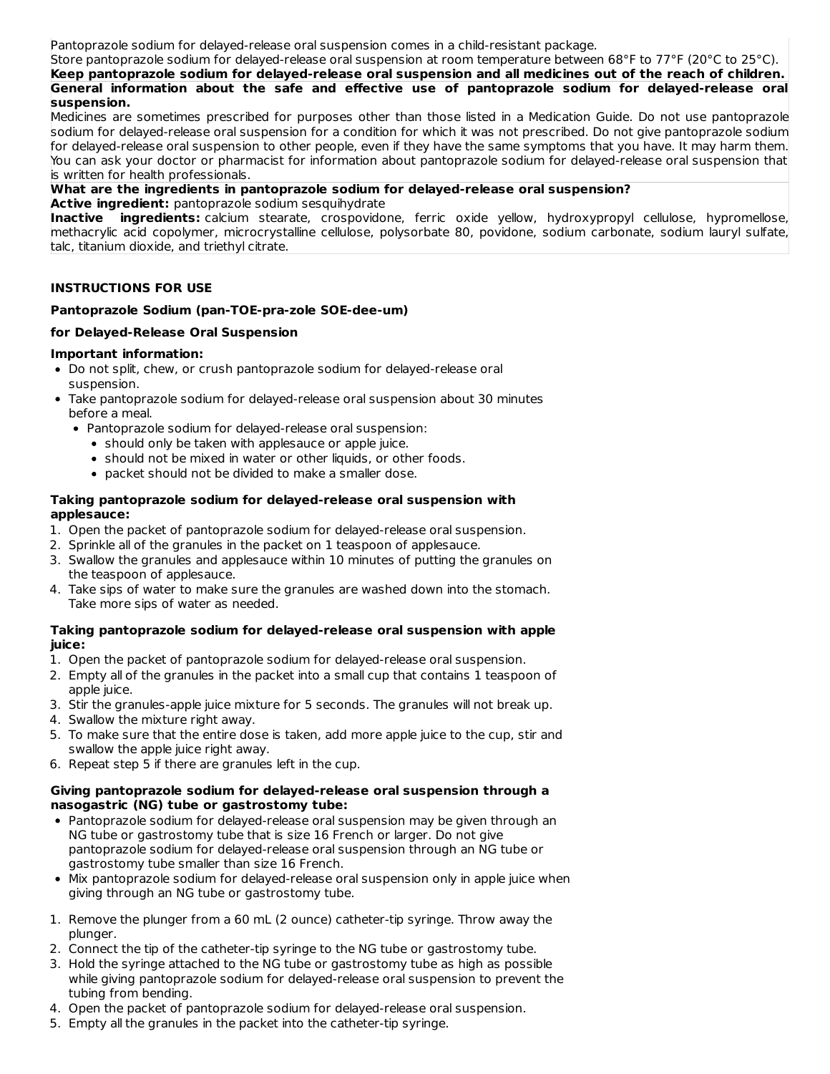Pantoprazole sodium for delayed-release oral suspension comes in a child-resistant package.

Store pantoprazole sodium for delayed-release oral suspension at room temperature between 68°F to 77°F (20°C to 25°C). **Keep pantoprazole sodium for delayed-release oral suspension and all medicines out of the reach of children. General information about the safe and effective use of pantoprazole sodium for delayed-release oral suspension.**

Medicines are sometimes prescribed for purposes other than those listed in a Medication Guide. Do not use pantoprazole sodium for delayed-release oral suspension for a condition for which it was not prescribed. Do not give pantoprazole sodium for delayed-release oral suspension to other people, even if they have the same symptoms that you have. It may harm them. You can ask your doctor or pharmacist for information about pantoprazole sodium for delayed-release oral suspension that is written for health professionals.

### **What are the ingredients in pantoprazole sodium for delayed-release oral suspension?**

**Active ingredient:** pantoprazole sodium sesquihydrate

**Inactive ingredients:** calcium stearate, crospovidone, ferric oxide yellow, hydroxypropyl cellulose, hypromellose, methacrylic acid copolymer, microcrystalline cellulose, polysorbate 80, povidone, sodium carbonate, sodium lauryl sulfate, talc, titanium dioxide, and triethyl citrate.

### **INSTRUCTIONS FOR USE**

### **Pantoprazole Sodium (pan-TOE-pra-zole SOE-dee-um)**

### **for Delayed-Release Oral Suspension**

### **Important information:**

- Do not split, chew, or crush pantoprazole sodium for delayed-release oral suspension.
- Take pantoprazole sodium for delayed-release oral suspension about 30 minutes before a meal.
	- Pantoprazole sodium for delayed-release oral suspension:
		- should only be taken with applesauce or apple juice.
		- should not be mixed in water or other liquids, or other foods.
		- packet should not be divided to make a smaller dose.

### **Taking pantoprazole sodium for delayed-release oral suspension with applesauce:**

- 1. Open the packet of pantoprazole sodium for delayed-release oral suspension.
- 2. Sprinkle all of the granules in the packet on 1 teaspoon of applesauce.
- 3. Swallow the granules and applesauce within 10 minutes of putting the granules on the teaspoon of applesauce.
- 4. Take sips of water to make sure the granules are washed down into the stomach. Take more sips of water as needed.

### **Taking pantoprazole sodium for delayed-release oral suspension with apple juice:**

- 1. Open the packet of pantoprazole sodium for delayed-release oral suspension.
- 2. Empty all of the granules in the packet into a small cup that contains 1 teaspoon of apple juice.
- 3. Stir the granules-apple juice mixture for 5 seconds. The granules will not break up.
- 4. Swallow the mixture right away.
- 5. To make sure that the entire dose is taken, add more apple juice to the cup, stir and swallow the apple juice right away.
- 6. Repeat step 5 if there are granules left in the cup.

### **Giving pantoprazole sodium for delayed-release oral suspension through a nasogastric (NG) tube or gastrostomy tube:**

- Pantoprazole sodium for delayed-release oral suspension may be given through an NG tube or gastrostomy tube that is size 16 French or larger. Do not give pantoprazole sodium for delayed-release oral suspension through an NG tube or gastrostomy tube smaller than size 16 French.
- Mix pantoprazole sodium for delayed-release oral suspension only in apple juice when giving through an NG tube or gastrostomy tube.
- 1. Remove the plunger from a 60 mL (2 ounce) catheter-tip syringe. Throw away the plunger.
- 2. Connect the tip of the catheter-tip syringe to the NG tube or gastrostomy tube.
- 3. Hold the syringe attached to the NG tube or gastrostomy tube as high as possible while giving pantoprazole sodium for delayed-release oral suspension to prevent the tubing from bending.
- 4. Open the packet of pantoprazole sodium for delayed-release oral suspension.
- 5. Empty all the granules in the packet into the catheter-tip syringe.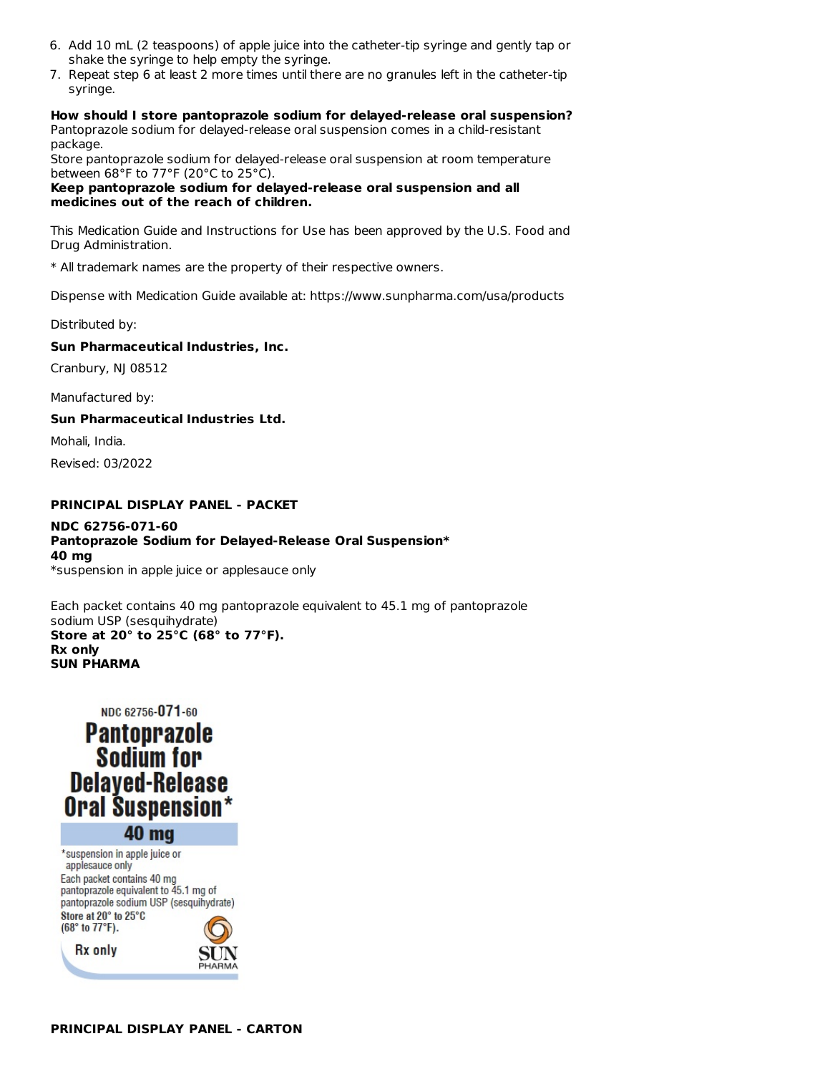- 6. Add 10 mL (2 teaspoons) of apple juice into the catheter-tip syringe and gently tap or shake the syringe to help empty the syringe.
- 7. Repeat step 6 at least 2 more times until there are no granules left in the catheter-tip syringe.

**How should I store pantoprazole sodium for delayed-release oral suspension?** Pantoprazole sodium for delayed-release oral suspension comes in a child-resistant package.

Store pantoprazole sodium for delayed-release oral suspension at room temperature between 68°F to 77°F (20°C to 25°C).

**Keep pantoprazole sodium for delayed-release oral suspension and all medicines out of the reach of children.**

This Medication Guide and Instructions for Use has been approved by the U.S. Food and Drug Administration.

\* All trademark names are the property of their respective owners.

Dispense with Medication Guide available at: https://www.sunpharma.com/usa/products

Distributed by:

### **Sun Pharmaceutical Industries, Inc.**

Cranbury, NJ 08512

Manufactured by:

### **Sun Pharmaceutical Industries Ltd.**

Mohali, India.

Revised: 03/2022

### **PRINCIPAL DISPLAY PANEL - PACKET**

#### **NDC 62756-071-60 Pantoprazole Sodium for Delayed-Release Oral Suspension\* 40 mg** \*suspension in apple juice or applesauce only

Each packet contains 40 mg pantoprazole equivalent to 45.1 mg of pantoprazole sodium USP (sesquihydrate) **Store at 20° to 25°C (68° to 77°F). Rx only SUN PHARMA**

# NDC 62756-071-60 **Pantoprazole Sodium for Delayed-Release Oral Suspension** 40 mg

\*suspension in apple juice or applesauce only Each packet contains 40 mg pantoprazole equivalent to 45.1 mg of pantoprazole sodium USP (sesquihydrate) Store at 20° to 25°C (68° to 77°F).

**Rx** only

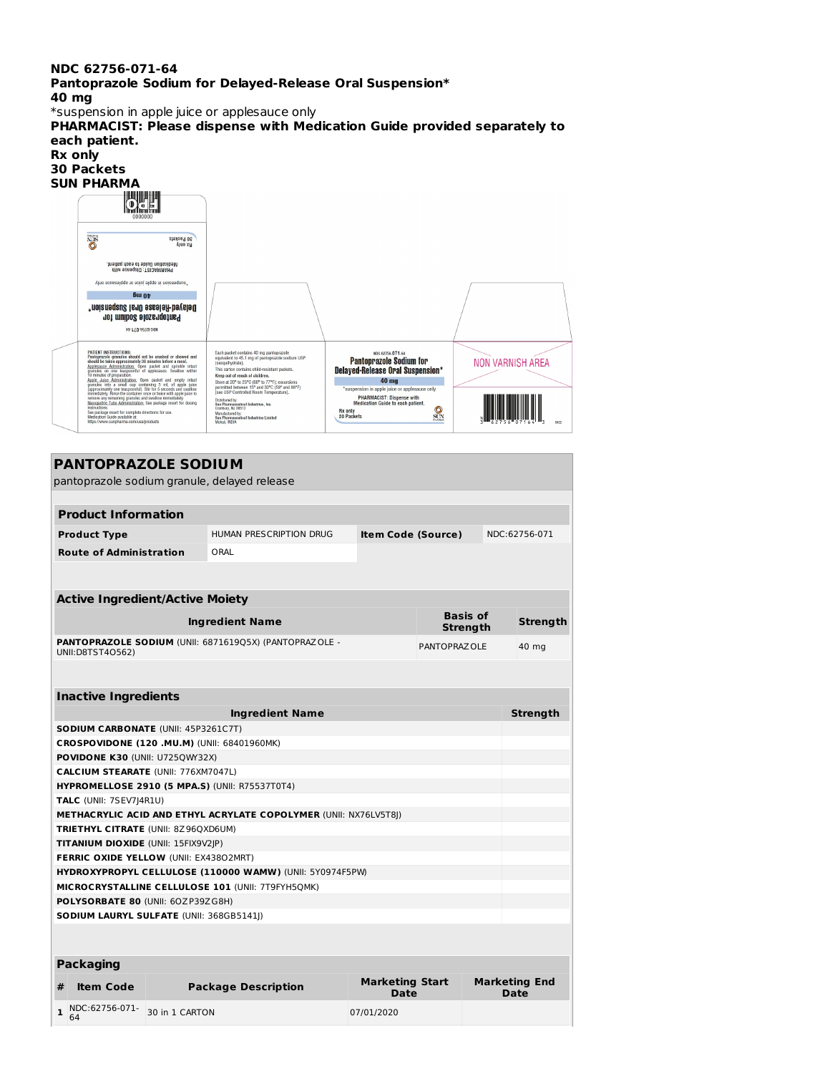#### **NDC 62756-071-64**

**Pantoprazole Sodium for Delayed-Release Oral Suspension\* 40 mg**

\*suspension in apple juice or applesauce only

**PHARMACIST: Please dispense with Medication Guide provided separately to each patient. Rx only 30 Packets SUN PHARMA NOS SO Packets** ntiw sznagziO :T210AMAAH9<br>hositeq dass of sbiuD noifsaibsM. in apple juice or applesauce only P.  $6u_0v$ Delayed-Release Oral Suspension\* Pantoprazole Sodium for 19-170-32753 30M PATIENT INSTRUCTIONS:<br>Pantoprazole granules should not be crushed or chewed and<br>should be taken approximately 30 minutes before a meal.<br>Applesauce Administration: Open packet and sprinkle intact<br>granules of preparation.<br>10 Each packet contains 40 mg pantoprazole<br>equivalent to 45.1 mg of pantoprazole sodium USP<br>(sesquihydrate). NDC 62756-071-6 **Pantoprazole Sodium for NON VARNISH AREA** (sesquihydrate).<br>This carton contains child-resistant packets.<br>Neep out of reach of child-resistant packets.<br>Store at 20° to 25°C (69° to 77°F); excursions<br>permitted between 15° and 30°C (59° and 80°F)<br>[see USP Controlled **Delayed-Release Oral Suspension\*** To minutes of preparation<br>compares the probability of the property that start and empty initial<br>granules into a small cop containing  $S$  mL of apple juice<br>granules into a small cop containing  $S$  mL of apple juice<br>strepor  $40 \text{ mg}$ **PHARMACIST: Dispense with<br>Medication Guide to each patient.** Distributed by:<br>Sun Pharmaceutical Industries, Inc.<br>Cranbury, NJ 08512  $\frac{6}{50N}$ nsert for complete directions for use.<br>iide available at: Rx only<br>30 Packets Manufactured by:<br>Sun Pharmaceutical Industries Limited<br>Mohali, INDIA

#### **PANTOPRAZOLE SODIUM**

pantoprazole sodium granule, delayed release **Product Information Product Type** HUMAN PRESCRIPTION DRUG **Item Code (Source)** NDC:62756-071 **Route of Administration** ORAL **Active Ingredient/Active Moiety Ingredient Name Basis** of **Strength Strength PANTOPRAZOLE SODIUM** (UNII: 6871619Q5X) (PANTOPRAZOLE - UNII:D8TST4O562) PANTOPRAZOLE 40 mg **Inactive Ingredients Ingredient Name Strength SODIUM CARBONATE** (UNII: 45P3261C7T) **CROSPOVIDONE (120 .MU.M)** (UNII: 68401960MK) **POVIDONE K30 (UNII: U7250WY32X) CALCIUM STEARATE** (UNII: 776XM7047L)

**HYPROMELLOSE 2910 (5 MPA.S)** (UNII: R75537T0T4) **TALC** (UNII: 7SEV7J4R1U) **METHACRYLIC ACID AND ETHYL ACRYLATE COPOLYMER** (UNII: NX76LV5T8J) **TRIETHYL CITRATE** (UNII: 8Z96QXD6UM) **TITANIUM DIOXIDE** (UNII: 15FIX9V2JP) **FERRIC OXIDE YELLOW** (UNII: EX438O2MRT) **HYDROXYPROPYL CELLULOSE (110000 WAMW)** (UNII: 5Y0974F5PW) **MICROCRYSTALLINE CELLULOSE 101** (UNII: 7T9FYH5QMK) **POLYSORBATE 80** (UNII: 6OZP39ZG8H) **SODIUM LAURYL SULFATE** (UNII: 368GB5141J) **Packaging # Item Code Package Description Marketing Start Date Marketing End Date**

**1** NDC:62756-071- 30 in 1 CARTON 07/01/2020

64